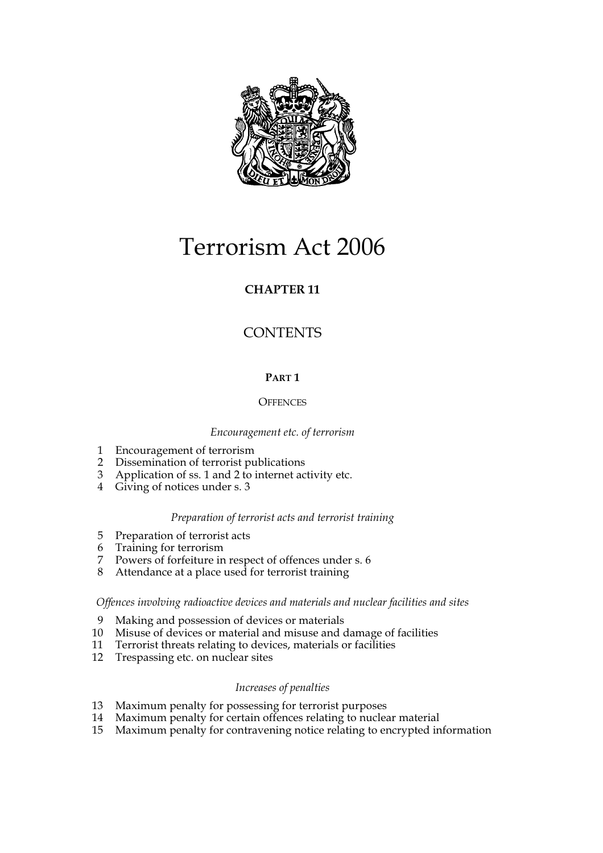

# Terrorism Act 2006

## **CHAPTER 11**

# **CONTENTS**

## **PART 1**

## **OFFENCES**

## *Encouragement etc. of terrorism*

- 1 Encouragement of terrorism
- 2 Dissemination of terrorist publications
- 3 Application of ss. 1 and 2 to internet activity etc.
- 4 Giving of notices under s. 3

## *Preparation of terrorist acts and terrorist training*

- 5 Preparation of terrorist acts
- 6 Training for terrorism
- 7 Powers of forfeiture in respect of offences under s. 6
- 8 Attendance at a place used for terrorist training

## *Offences involving radioactive devices and materials and nuclear facilities and sites*

- 9 Making and possession of devices or materials
- Misuse of devices or material and misuse and damage of facilities
- 11 Terrorist threats relating to devices, materials or facilities
- 12 Trespassing etc. on nuclear sites

## *Increases of penalties*

- 13 Maximum penalty for possessing for terrorist purposes
- 14 Maximum penalty for certain offences relating to nuclear material
- 15 Maximum penalty for contravening notice relating to encrypted information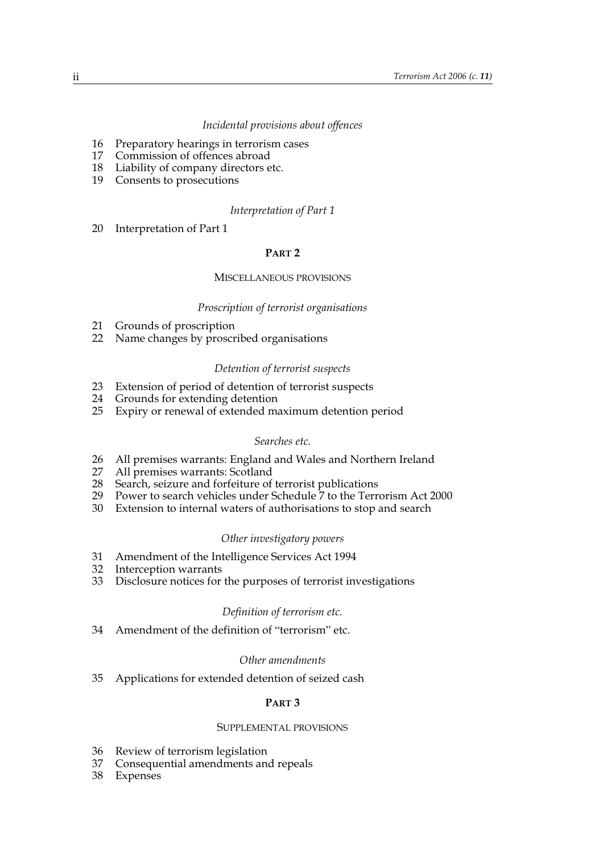#### *Incidental provisions about offences*

- 16 Preparatory hearings in terrorism cases
- 17 Commission of offences abroad
- 18 Liability of company directors etc.
- 19 Consents to prosecutions

#### *Interpretation of Part 1*

20 Interpretation of Part 1

#### **PART 2**

#### MISCELLANEOUS PROVISIONS

#### *Proscription of terrorist organisations*

- 21 Grounds of proscription
- 22 Name changes by proscribed organisations

#### *Detention of terrorist suspects*

- 23 Extension of period of detention of terrorist suspects
- 24 Grounds for extending detention
- 25 Expiry or renewal of extended maximum detention period

#### *Searches etc.*

- 26 All premises warrants: England and Wales and Northern Ireland
- 27 All premises warrants: Scotland<br>28 Search, seizure and forfeiture of
- Search, seizure and forfeiture of terrorist publications
- 29 Power to search vehicles under Schedule 7 to the Terrorism Act 2000
- 30 Extension to internal waters of authorisations to stop and search

#### *Other investigatory powers*

- 31 Amendment of the Intelligence Services Act 1994
- 32 Interception warrants
- 33 Disclosure notices for the purposes of terrorist investigations

#### *Definition of terrorism etc.*

34 Amendment of the definition of "terrorism" etc.

#### *Other amendments*

35 Applications for extended detention of seized cash

#### **PART 3**

#### SUPPLEMENTAL PROVISIONS

- 36 Review of terrorism legislation<br>37 Consequential amendments an
- Consequential amendments and repeals
- 38 Expenses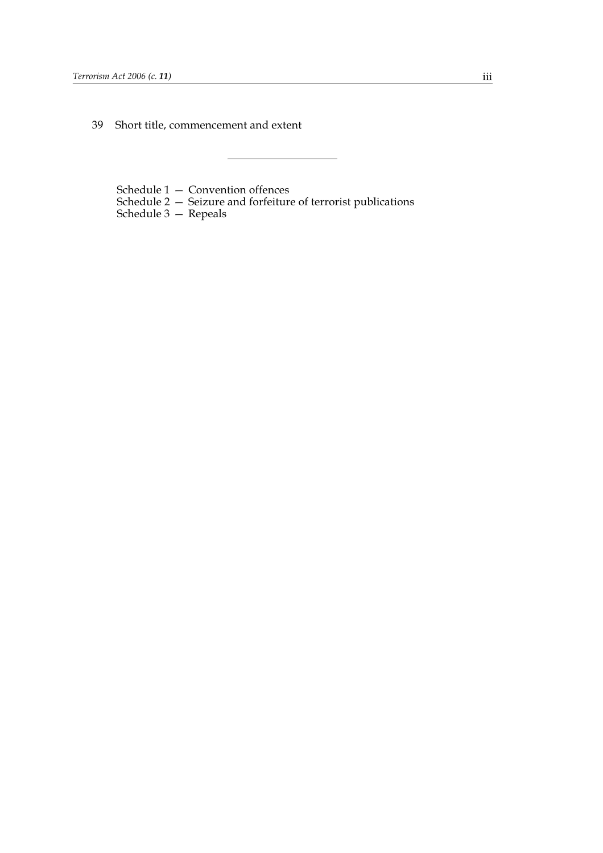- 39 Short title, commencement and extent
	- Schedule 1 Convention offences
	- Schedule 2 Seizure and forfeiture of terrorist publications
	- Schedule 3 Repeals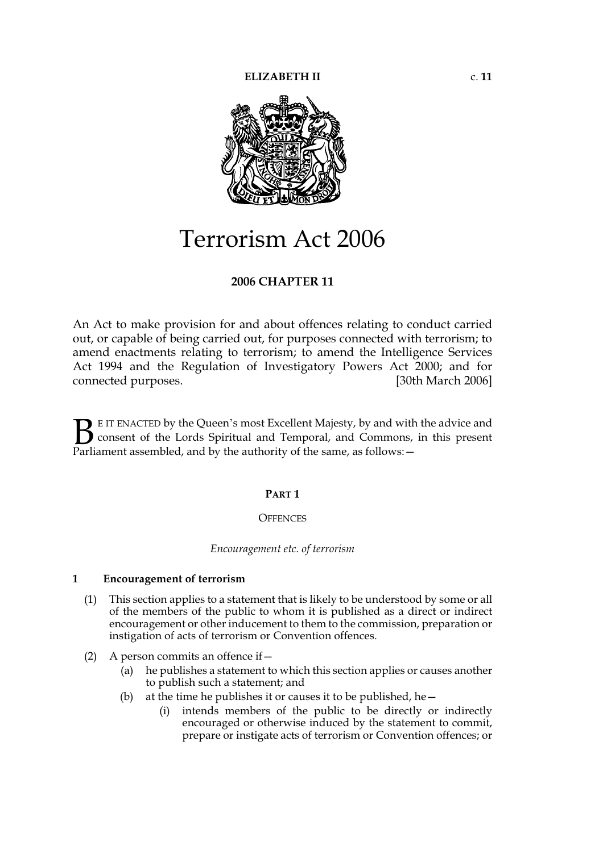

# Terrorism Act 2006

## **2006 CHAPTER 11**

An Act to make provision for and about offences relating to conduct carried out, or capable of being carried out, for purposes connected with terrorism; to amend enactments relating to terrorism; to amend the Intelligence Services Act 1994 and the Regulation of Investigatory Powers Act 2000; and for connected purposes. [30th March 2006]

E IT ENACTED by the Queen's most Excellent Majesty, by and with the advice and consent of the Lords Spiritual and Temporal, and Commons, in this present **B** E IT ENACTED by the Queen's most Excellent Majesty, by and with consent of the Lords Spiritual and Temporal, and Commons, Parliament assembled, and by the authority of the same, as follows:

## **PART 1**

## **OFFENCES**

## *Encouragement etc. of terrorism*

#### **1 Encouragement of terrorism**

- (1) This section applies to a statement that is likely to be understood by some or all of the members of the public to whom it is published as a direct or indirect encouragement or other inducement to them to the commission, preparation or instigation of acts of terrorism or Convention offences.
- (2) A person commits an offence if—
	- (a) he publishes a statement to which this section applies or causes another to publish such a statement; and
	- (b) at the time he publishes it or causes it to be published, he  $-$ 
		- (i) intends members of the public to be directly or indirectly encouraged or otherwise induced by the statement to commit, prepare or instigate acts of terrorism or Convention offences; or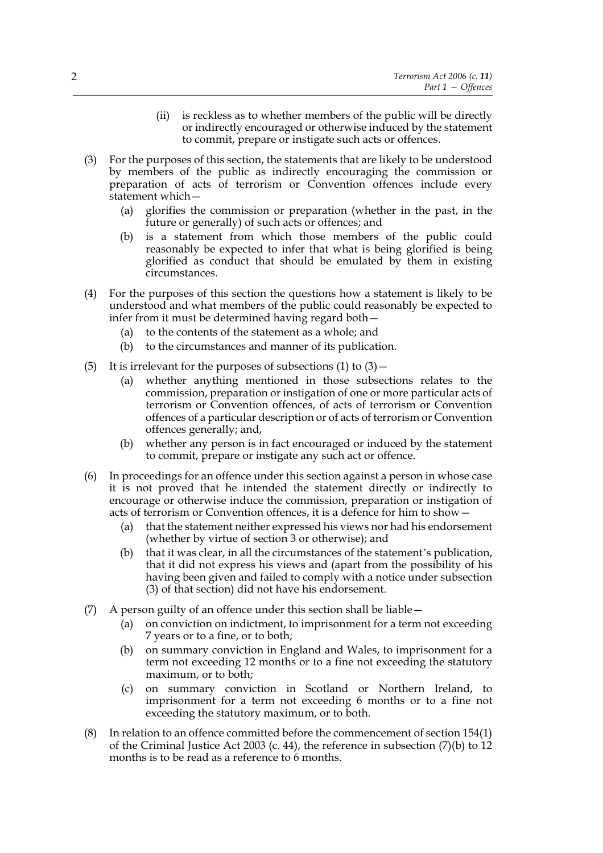- (ii) is reckless as to whether members of the public will be directly or indirectly encouraged or otherwise induced by the statement to commit, prepare or instigate such acts or offences.
- (3) For the purposes of this section, the statements that are likely to be understood by members of the public as indirectly encouraging the commission or preparation of acts of terrorism or Convention offences include every statement which—
	- (a) glorifies the commission or preparation (whether in the past, in the future or generally) of such acts or offences; and
	- (b) is a statement from which those members of the public could reasonably be expected to infer that what is being glorified is being glorified as conduct that should be emulated by them in existing circumstances.
- (4) For the purposes of this section the questions how a statement is likely to be understood and what members of the public could reasonably be expected to infer from it must be determined having regard both—
	- (a) to the contents of the statement as a whole; and
	- (b) to the circumstances and manner of its publication.
- (5) It is irrelevant for the purposes of subsections  $(1)$  to  $(3)$  -
	- (a) whether anything mentioned in those subsections relates to the commission, preparation or instigation of one or more particular acts of terrorism or Convention offences, of acts of terrorism or Convention offences of a particular description or of acts of terrorism or Convention offences generally; and,
	- (b) whether any person is in fact encouraged or induced by the statement to commit, prepare or instigate any such act or offence.
- (6) In proceedings for an offence under this section against a person in whose case it is not proved that he intended the statement directly or indirectly to encourage or otherwise induce the commission, preparation or instigation of acts of terrorism or Convention offences, it is a defence for him to show—
	- (a) that the statement neither expressed his views nor had his endorsement (whether by virtue of section 3 or otherwise); and
	- (b) that it was clear, in all the circumstances of the statement's publication, that it did not express his views and (apart from the possibility of his having been given and failed to comply with a notice under subsection (3) of that section) did not have his endorsement.
- (7) A person guilty of an offence under this section shall be liable—
	- (a) on conviction on indictment, to imprisonment for a term not exceeding 7 years or to a fine, or to both;
	- (b) on summary conviction in England and Wales, to imprisonment for a term not exceeding 12 months or to a fine not exceeding the statutory maximum, or to both;
	- (c) on summary conviction in Scotland or Northern Ireland, to imprisonment for a term not exceeding 6 months or to a fine not exceeding the statutory maximum, or to both.
- (8) In relation to an offence committed before the commencement of section 154(1) of the Criminal Justice Act 2003 (c. 44), the reference in subsection (7)(b) to 12 months is to be read as a reference to 6 months.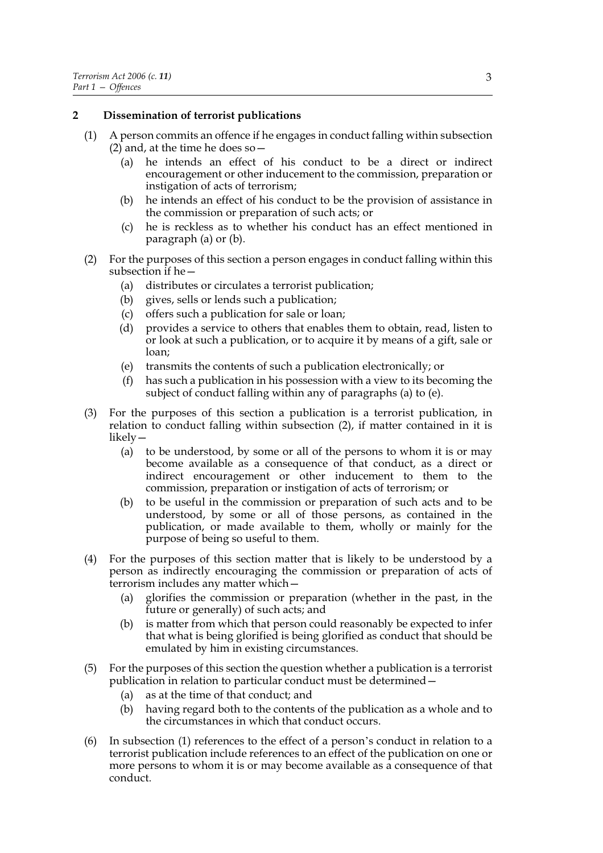## **2 Dissemination of terrorist publications**

- (1) A person commits an offence if he engages in conduct falling within subsection (2) and, at the time he does so  $-$ 
	- (a) he intends an effect of his conduct to be a direct or indirect encouragement or other inducement to the commission, preparation or instigation of acts of terrorism;
	- (b) he intends an effect of his conduct to be the provision of assistance in the commission or preparation of such acts; or
	- (c) he is reckless as to whether his conduct has an effect mentioned in paragraph (a) or (b).
- (2) For the purposes of this section a person engages in conduct falling within this subsection if he—
	- (a) distributes or circulates a terrorist publication;
	- (b) gives, sells or lends such a publication;
	- (c) offers such a publication for sale or loan;
	- (d) provides a service to others that enables them to obtain, read, listen to or look at such a publication, or to acquire it by means of a gift, sale or loan;
	- (e) transmits the contents of such a publication electronically; or
	- (f) has such a publication in his possession with a view to its becoming the subject of conduct falling within any of paragraphs (a) to (e).
- (3) For the purposes of this section a publication is a terrorist publication, in relation to conduct falling within subsection (2), if matter contained in it is likely—
	- (a) to be understood, by some or all of the persons to whom it is or may become available as a consequence of that conduct, as a direct or indirect encouragement or other inducement to them to the commission, preparation or instigation of acts of terrorism; or
	- (b) to be useful in the commission or preparation of such acts and to be understood, by some or all of those persons, as contained in the publication, or made available to them, wholly or mainly for the purpose of being so useful to them.
- (4) For the purposes of this section matter that is likely to be understood by a person as indirectly encouraging the commission or preparation of acts of terrorism includes any matter which—
	- (a) glorifies the commission or preparation (whether in the past, in the future or generally) of such acts; and
	- (b) is matter from which that person could reasonably be expected to infer that what is being glorified is being glorified as conduct that should be emulated by him in existing circumstances.
- (5) For the purposes of this section the question whether a publication is a terrorist publication in relation to particular conduct must be determined—
	- (a) as at the time of that conduct; and
	- (b) having regard both to the contents of the publication as a whole and to the circumstances in which that conduct occurs.
- (6) In subsection (1) references to the effect of a person's conduct in relation to a terrorist publication include references to an effect of the publication on one or more persons to whom it is or may become available as a consequence of that conduct.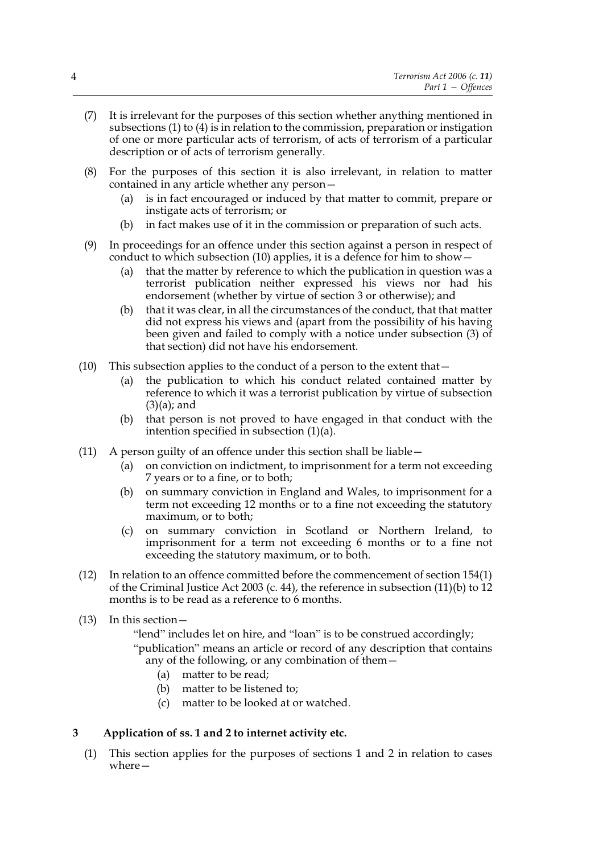- (7) It is irrelevant for the purposes of this section whether anything mentioned in subsections (1) to (4) is in relation to the commission, preparation or instigation of one or more particular acts of terrorism, of acts of terrorism of a particular description or of acts of terrorism generally.
- (8) For the purposes of this section it is also irrelevant, in relation to matter contained in any article whether any person—
	- (a) is in fact encouraged or induced by that matter to commit, prepare or instigate acts of terrorism; or
	- (b) in fact makes use of it in the commission or preparation of such acts.
- (9) In proceedings for an offence under this section against a person in respect of conduct to which subsection (10) applies, it is a defence for him to show  $-$ 
	- (a) that the matter by reference to which the publication in question was a terrorist publication neither expressed his views nor had his endorsement (whether by virtue of section 3 or otherwise); and
	- (b) that it was clear, in all the circumstances of the conduct, that that matter did not express his views and (apart from the possibility of his having been given and failed to comply with a notice under subsection (3) of that section) did not have his endorsement.
- (10) This subsection applies to the conduct of a person to the extent that—
	- (a) the publication to which his conduct related contained matter by reference to which it was a terrorist publication by virtue of subsection (3)(a); and
	- (b) that person is not proved to have engaged in that conduct with the intention specified in subsection (1)(a).
- (11) A person guilty of an offence under this section shall be liable—
	- (a) on conviction on indictment, to imprisonment for a term not exceeding 7 years or to a fine, or to both;
	- (b) on summary conviction in England and Wales, to imprisonment for a term not exceeding 12 months or to a fine not exceeding the statutory maximum, or to both;
	- (c) on summary conviction in Scotland or Northern Ireland, to imprisonment for a term not exceeding 6 months or to a fine not exceeding the statutory maximum, or to both.
- (12) In relation to an offence committed before the commencement of section 154(1) of the Criminal Justice Act 2003 (c. 44), the reference in subsection (11)(b) to 12 months is to be read as a reference to 6 months.
- (13) In this section—
	- "lend" includes let on hire, and "loan" is to be construed accordingly; "publication" means an article or record of any description that contains any of the following, or any combination of them—
		- (a) matter to be read;
		- (b) matter to be listened to;
		- (c) matter to be looked at or watched.

## **3 Application of ss. 1 and 2 to internet activity etc.**

(1) This section applies for the purposes of sections 1 and 2 in relation to cases where—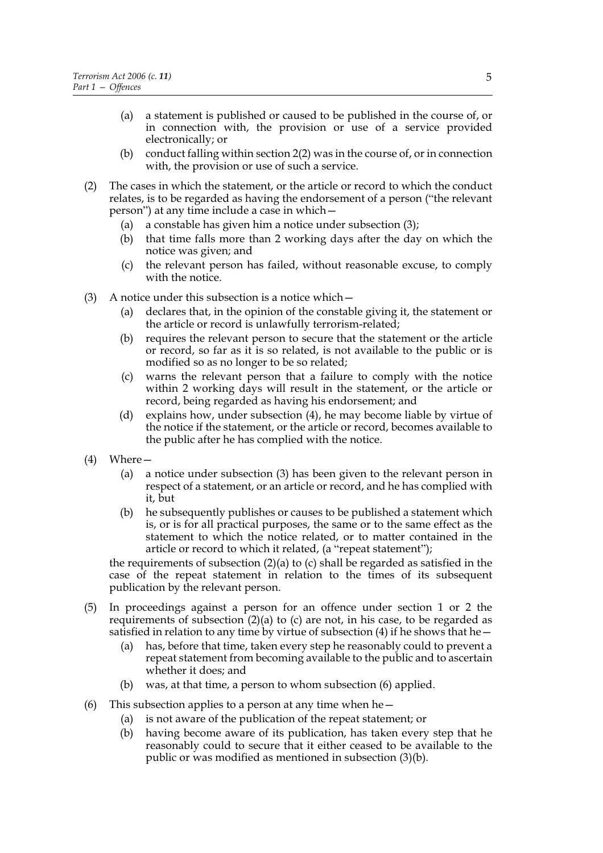- (a) a statement is published or caused to be published in the course of, or in connection with, the provision or use of a service provided electronically; or
- (b) conduct falling within section  $2(2)$  was in the course of, or in connection with, the provision or use of such a service.
- (2) The cases in which the statement, or the article or record to which the conduct relates, is to be regarded as having the endorsement of a person ("the relevant person") at any time include a case in which—
	- (a) a constable has given him a notice under subsection (3);
	- (b) that time falls more than 2 working days after the day on which the notice was given; and
	- (c) the relevant person has failed, without reasonable excuse, to comply with the notice.
- $(3)$  A notice under this subsection is a notice which
	- (a) declares that, in the opinion of the constable giving it, the statement or the article or record is unlawfully terrorism-related;
	- (b) requires the relevant person to secure that the statement or the article or record, so far as it is so related, is not available to the public or is modified so as no longer to be so related;
	- (c) warns the relevant person that a failure to comply with the notice within 2 working days will result in the statement, or the article or record, being regarded as having his endorsement; and
	- (d) explains how, under subsection (4), he may become liable by virtue of the notice if the statement, or the article or record, becomes available to the public after he has complied with the notice.
- (4) Where—
	- (a) a notice under subsection (3) has been given to the relevant person in respect of a statement, or an article or record, and he has complied with it, but
	- (b) he subsequently publishes or causes to be published a statement which is, or is for all practical purposes, the same or to the same effect as the statement to which the notice related, or to matter contained in the article or record to which it related, (a "repeat statement");

the requirements of subsection (2)(a) to (c) shall be regarded as satisfied in the case of the repeat statement in relation to the times of its subsequent publication by the relevant person.

- (5) In proceedings against a person for an offence under section 1 or 2 the requirements of subsection  $(2)(a)$  to  $(c)$  are not, in his case, to be regarded as satisfied in relation to any time by virtue of subsection  $(4)$  if he shows that he  $-$ 
	- (a) has, before that time, taken every step he reasonably could to prevent a repeat statement from becoming available to the public and to ascertain whether it does; and
	- (b) was, at that time, a person to whom subsection (6) applied.
- (6) This subsection applies to a person at any time when he  $-$ 
	- (a) is not aware of the publication of the repeat statement; or
	- (b) having become aware of its publication, has taken every step that he reasonably could to secure that it either ceased to be available to the public or was modified as mentioned in subsection (3)(b).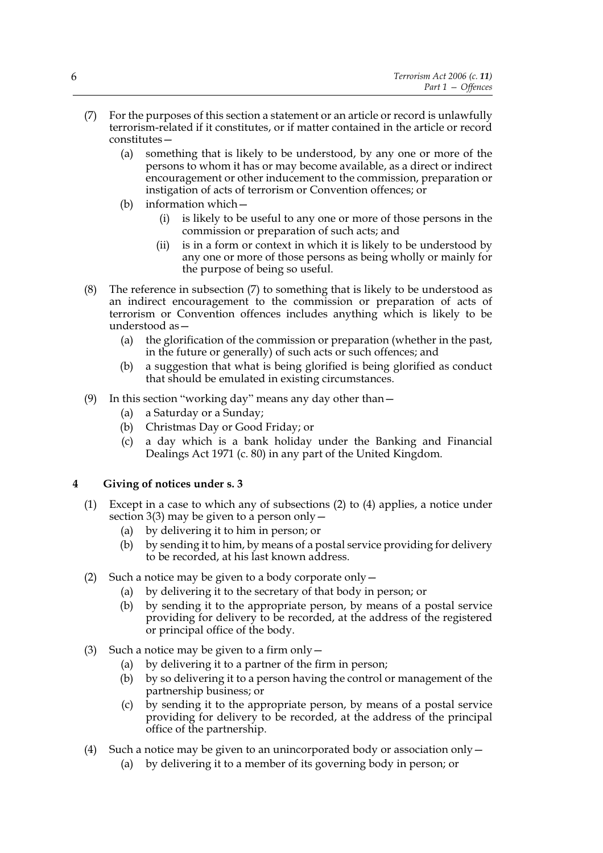- (7) For the purposes of this section a statement or an article or record is unlawfully terrorism-related if it constitutes, or if matter contained in the article or record constitutes—
	- (a) something that is likely to be understood, by any one or more of the persons to whom it has or may become available, as a direct or indirect encouragement or other inducement to the commission, preparation or instigation of acts of terrorism or Convention offences; or
	- (b) information which—
		- (i) is likely to be useful to any one or more of those persons in the commission or preparation of such acts; and
		- (ii) is in a form or context in which it is likely to be understood by any one or more of those persons as being wholly or mainly for the purpose of being so useful.
- (8) The reference in subsection (7) to something that is likely to be understood as an indirect encouragement to the commission or preparation of acts of terrorism or Convention offences includes anything which is likely to be understood as—
	- (a) the glorification of the commission or preparation (whether in the past, in the future or generally) of such acts or such offences; and
	- (b) a suggestion that what is being glorified is being glorified as conduct that should be emulated in existing circumstances.
- (9) In this section "working day" means any day other than—
	- (a) a Saturday or a Sunday;
	- (b) Christmas Day or Good Friday; or
	- (c) a day which is a bank holiday under the Banking and Financial Dealings Act 1971 (c. 80) in any part of the United Kingdom.

## **4 Giving of notices under s. 3**

- (1) Except in a case to which any of subsections (2) to (4) applies, a notice under section 3(3) may be given to a person only  $-$ 
	- (a) by delivering it to him in person; or
	- (b) by sending it to him, by means of a postal service providing for delivery to be recorded, at his last known address.
- (2) Such a notice may be given to a body corporate only—
	- (a) by delivering it to the secretary of that body in person; or
	- (b) by sending it to the appropriate person, by means of a postal service providing for delivery to be recorded, at the address of the registered or principal office of the body.
- (3) Such a notice may be given to a firm only  $-$ 
	- (a) by delivering it to a partner of the firm in person;
	- (b) by so delivering it to a person having the control or management of the partnership business; or
	- (c) by sending it to the appropriate person, by means of a postal service providing for delivery to be recorded, at the address of the principal office of the partnership.
- (4) Such a notice may be given to an unincorporated body or association only  $-$ 
	- (a) by delivering it to a member of its governing body in person; or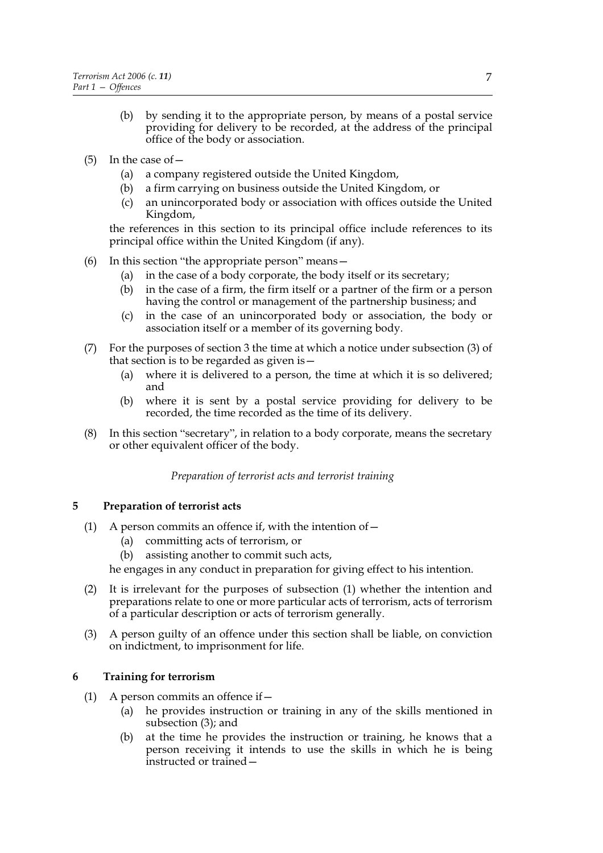- (b) by sending it to the appropriate person, by means of a postal service providing for delivery to be recorded, at the address of the principal office of the body or association.
- (5) In the case of  $-$ 
	- (a) a company registered outside the United Kingdom,
	- (b) a firm carrying on business outside the United Kingdom, or
	- (c) an unincorporated body or association with offices outside the United Kingdom,

the references in this section to its principal office include references to its principal office within the United Kingdom (if any).

- (6) In this section "the appropriate person" means—
	- (a) in the case of a body corporate, the body itself or its secretary;
	- (b) in the case of a firm, the firm itself or a partner of the firm or a person having the control or management of the partnership business; and
	- (c) in the case of an unincorporated body or association, the body or association itself or a member of its governing body.
- (7) For the purposes of section 3 the time at which a notice under subsection (3) of that section is to be regarded as given is  $-$ 
	- (a) where it is delivered to a person, the time at which it is so delivered; and
	- (b) where it is sent by a postal service providing for delivery to be recorded, the time recorded as the time of its delivery.
- (8) In this section "secretary", in relation to a body corporate, means the secretary or other equivalent officer of the body.

*Preparation of terrorist acts and terrorist training*

## **5 Preparation of terrorist acts**

- (1) A person commits an offence if, with the intention of  $-$ 
	- (a) committing acts of terrorism, or
	- (b) assisting another to commit such acts,

he engages in any conduct in preparation for giving effect to his intention.

- (2) It is irrelevant for the purposes of subsection (1) whether the intention and preparations relate to one or more particular acts of terrorism, acts of terrorism of a particular description or acts of terrorism generally.
- (3) A person guilty of an offence under this section shall be liable, on conviction on indictment, to imprisonment for life.

## **6 Training for terrorism**

- (1) A person commits an offence if—
	- (a) he provides instruction or training in any of the skills mentioned in subsection (3); and
	- (b) at the time he provides the instruction or training, he knows that a person receiving it intends to use the skills in which he is being instructed or trained—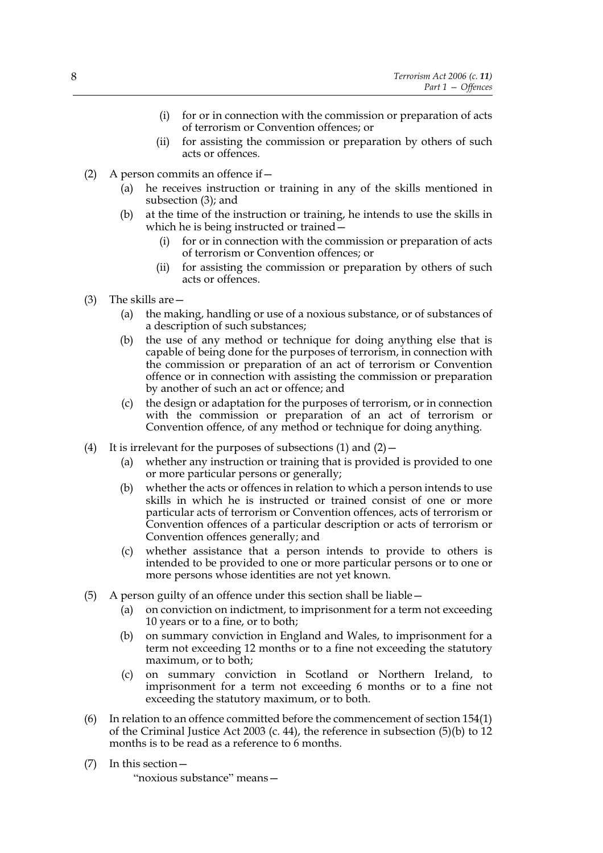- (i) for or in connection with the commission or preparation of acts of terrorism or Convention offences; or
- (ii) for assisting the commission or preparation by others of such acts or offences.
- (2) A person commits an offence if  $-$ 
	- (a) he receives instruction or training in any of the skills mentioned in subsection (3); and
	- (b) at the time of the instruction or training, he intends to use the skills in which he is being instructed or trained
		- for or in connection with the commission or preparation of acts of terrorism or Convention offences; or
		- (ii) for assisting the commission or preparation by others of such acts or offences.
- (3) The skills are—
	- (a) the making, handling or use of a noxious substance, or of substances of a description of such substances;
	- (b) the use of any method or technique for doing anything else that is capable of being done for the purposes of terrorism, in connection with the commission or preparation of an act of terrorism or Convention offence or in connection with assisting the commission or preparation by another of such an act or offence; and
	- (c) the design or adaptation for the purposes of terrorism, or in connection with the commission or preparation of an act of terrorism or Convention offence, of any method or technique for doing anything.
- (4) It is irrelevant for the purposes of subsections (1) and  $(2)$ 
	- (a) whether any instruction or training that is provided is provided to one or more particular persons or generally;
	- (b) whether the acts or offences in relation to which a person intends to use skills in which he is instructed or trained consist of one or more particular acts of terrorism or Convention offences, acts of terrorism or Convention offences of a particular description or acts of terrorism or Convention offences generally; and
	- (c) whether assistance that a person intends to provide to others is intended to be provided to one or more particular persons or to one or more persons whose identities are not yet known.
- (5) A person guilty of an offence under this section shall be liable—
	- (a) on conviction on indictment, to imprisonment for a term not exceeding 10 years or to a fine, or to both;
	- (b) on summary conviction in England and Wales, to imprisonment for a term not exceeding 12 months or to a fine not exceeding the statutory maximum, or to both;
	- (c) on summary conviction in Scotland or Northern Ireland, to imprisonment for a term not exceeding 6 months or to a fine not exceeding the statutory maximum, or to both.
- (6) In relation to an offence committed before the commencement of section 154(1) of the Criminal Justice Act 2003 (c. 44), the reference in subsection (5)(b) to 12 months is to be read as a reference to 6 months.
- (7) In this section—

"noxious substance" means—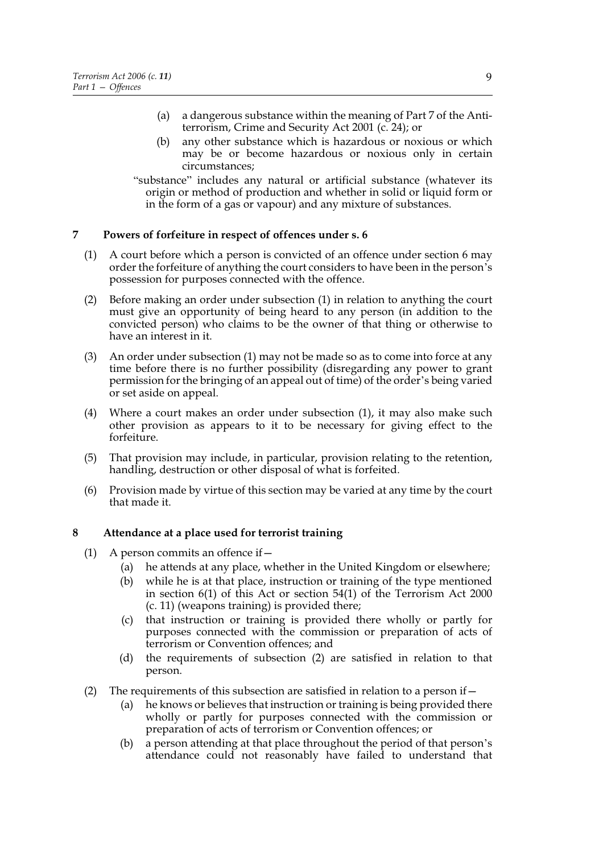- (a) a dangerous substance within the meaning of Part 7 of the Antiterrorism, Crime and Security Act 2001 (c. 24); or
- (b) any other substance which is hazardous or noxious or which may be or become hazardous or noxious only in certain circumstances;

"substance" includes any natural or artificial substance (whatever its origin or method of production and whether in solid or liquid form or in the form of a gas or vapour) and any mixture of substances.

## **7 Powers of forfeiture in respect of offences under s. 6**

- (1) A court before which a person is convicted of an offence under section 6 may order the forfeiture of anything the court considers to have been in the person's possession for purposes connected with the offence.
- (2) Before making an order under subsection (1) in relation to anything the court must give an opportunity of being heard to any person (in addition to the convicted person) who claims to be the owner of that thing or otherwise to have an interest in it.
- (3) An order under subsection (1) may not be made so as to come into force at any time before there is no further possibility (disregarding any power to grant permission for the bringing of an appeal out of time) of the order's being varied or set aside on appeal.
- (4) Where a court makes an order under subsection (1), it may also make such other provision as appears to it to be necessary for giving effect to the forfeiture.
- (5) That provision may include, in particular, provision relating to the retention, handling, destruction or other disposal of what is forfeited.
- (6) Provision made by virtue of this section may be varied at any time by the court that made it.

## **8 Attendance at a place used for terrorist training**

- (1) A person commits an offence if  $-$ 
	- (a) he attends at any place, whether in the United Kingdom or elsewhere;
	- (b) while he is at that place, instruction or training of the type mentioned in section 6(1) of this Act or section 54(1) of the Terrorism Act 2000 (c. 11) (weapons training) is provided there;
	- (c) that instruction or training is provided there wholly or partly for purposes connected with the commission or preparation of acts of terrorism or Convention offences; and
	- (d) the requirements of subsection (2) are satisfied in relation to that person.
- (2) The requirements of this subsection are satisfied in relation to a person if  $-$ 
	- (a) he knows or believes that instruction or training is being provided there wholly or partly for purposes connected with the commission or preparation of acts of terrorism or Convention offences; or
	- (b) a person attending at that place throughout the period of that person's attendance could not reasonably have failed to understand that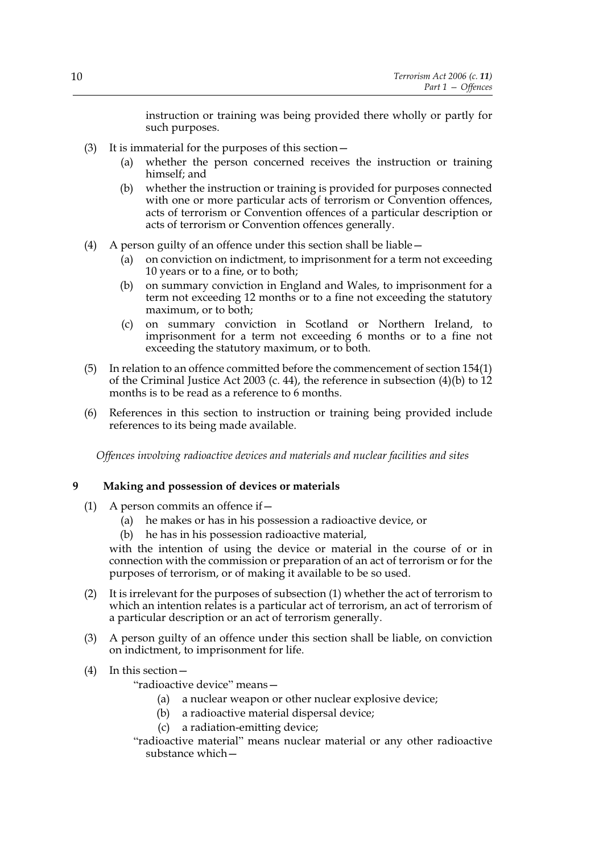instruction or training was being provided there wholly or partly for such purposes.

- (3) It is immaterial for the purposes of this section—
	- (a) whether the person concerned receives the instruction or training himself; and
	- (b) whether the instruction or training is provided for purposes connected with one or more particular acts of terrorism or Convention offences, acts of terrorism or Convention offences of a particular description or acts of terrorism or Convention offences generally.
- (4) A person guilty of an offence under this section shall be liable—
	- (a) on conviction on indictment, to imprisonment for a term not exceeding 10 years or to a fine, or to both;
	- (b) on summary conviction in England and Wales, to imprisonment for a term not exceeding 12 months or to a fine not exceeding the statutory maximum, or to both;
	- (c) on summary conviction in Scotland or Northern Ireland, to imprisonment for a term not exceeding 6 months or to a fine not exceeding the statutory maximum, or to both.
- (5) In relation to an offence committed before the commencement of section 154(1) of the Criminal Justice Act 2003 (c. 44), the reference in subsection (4)(b) to 12 months is to be read as a reference to 6 months.
- (6) References in this section to instruction or training being provided include references to its being made available.

*Offences involving radioactive devices and materials and nuclear facilities and sites*

## **9 Making and possession of devices or materials**

- (1) A person commits an offence if  $-$ 
	- (a) he makes or has in his possession a radioactive device, or
	- (b) he has in his possession radioactive material,

with the intention of using the device or material in the course of or in connection with the commission or preparation of an act of terrorism or for the purposes of terrorism, or of making it available to be so used.

- (2) It is irrelevant for the purposes of subsection (1) whether the act of terrorism to which an intention relates is a particular act of terrorism, an act of terrorism of a particular description or an act of terrorism generally.
- (3) A person guilty of an offence under this section shall be liable, on conviction on indictment, to imprisonment for life.
- (4) In this section—

"radioactive device" means—

- (a) a nuclear weapon or other nuclear explosive device;
- (b) a radioactive material dispersal device;
- (c) a radiation-emitting device;

"radioactive material" means nuclear material or any other radioactive substance which—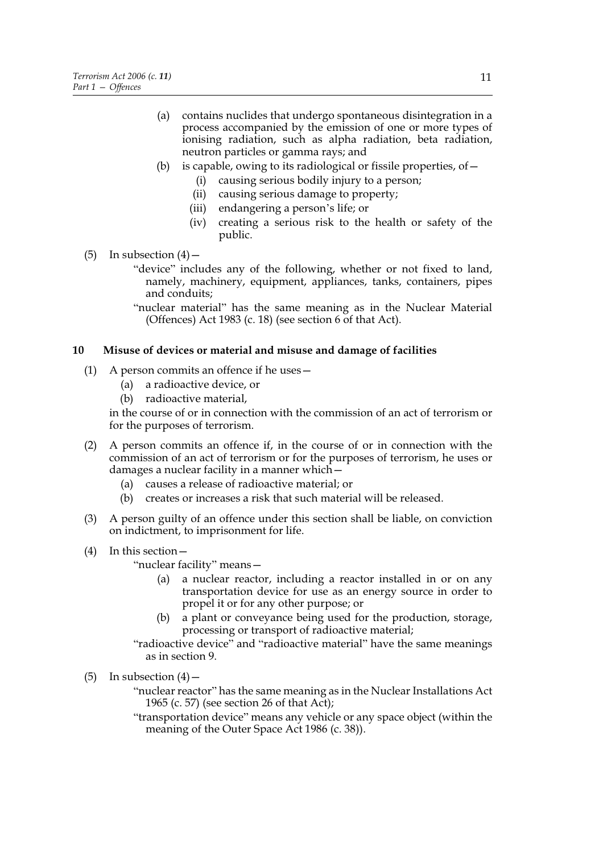- (a) contains nuclides that undergo spontaneous disintegration in a process accompanied by the emission of one or more types of ionising radiation, such as alpha radiation, beta radiation, neutron particles or gamma rays; and
- (b) is capable, owing to its radiological or fissile properties, of  $-$ 
	- (i) causing serious bodily injury to a person;
	- (ii) causing serious damage to property;
	- (iii) endangering a person's life; or
	- (iv) creating a serious risk to the health or safety of the public.
- (5) In subsection  $(4)$ 
	- "device" includes any of the following, whether or not fixed to land, namely, machinery, equipment, appliances, tanks, containers, pipes and conduits;
	- "nuclear material" has the same meaning as in the Nuclear Material (Offences) Act 1983 (c. 18) (see section 6 of that Act).

## **10 Misuse of devices or material and misuse and damage of facilities**

- (1) A person commits an offence if he uses—
	- (a) a radioactive device, or
	- (b) radioactive material,

in the course of or in connection with the commission of an act of terrorism or for the purposes of terrorism.

- (2) A person commits an offence if, in the course of or in connection with the commission of an act of terrorism or for the purposes of terrorism, he uses or damages a nuclear facility in a manner which -
	- (a) causes a release of radioactive material; or
	- (b) creates or increases a risk that such material will be released.
- (3) A person guilty of an offence under this section shall be liable, on conviction on indictment, to imprisonment for life.
- (4) In this section—
	- "nuclear facility" means—
		- (a) a nuclear reactor, including a reactor installed in or on any transportation device for use as an energy source in order to propel it or for any other purpose; or
		- (b) a plant or conveyance being used for the production, storage, processing or transport of radioactive material;

"radioactive device" and "radioactive material" have the same meanings as in section 9.

- (5) In subsection  $(4)$ 
	- "nuclear reactor" has the same meaning as in the Nuclear Installations Act 1965 (c. 57) (see section 26 of that Act);
	- "transportation device" means any vehicle or any space object (within the meaning of the Outer Space Act 1986 (c. 38)).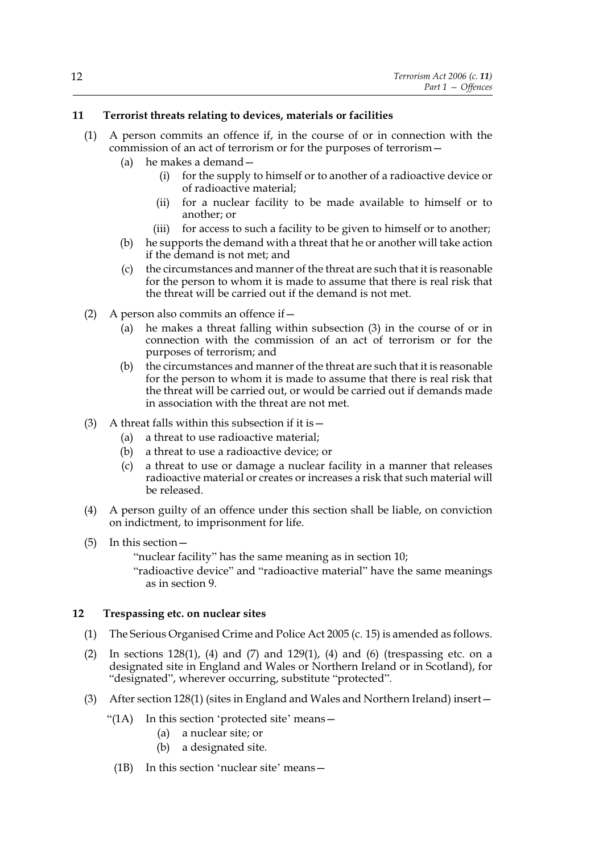## **11 Terrorist threats relating to devices, materials or facilities**

- (1) A person commits an offence if, in the course of or in connection with the commission of an act of terrorism or for the purposes of terrorism—
	- (a) he makes a demand—
		- (i) for the supply to himself or to another of a radioactive device or of radioactive material;
		- (ii) for a nuclear facility to be made available to himself or to another; or
		- (iii) for access to such a facility to be given to himself or to another;
	- (b) he supports the demand with a threat that he or another will take action if the demand is not met; and
	- (c) the circumstances and manner of the threat are such that it is reasonable for the person to whom it is made to assume that there is real risk that the threat will be carried out if the demand is not met.
- (2) A person also commits an offence if  $-$ 
	- (a) he makes a threat falling within subsection (3) in the course of or in connection with the commission of an act of terrorism or for the purposes of terrorism; and
	- (b) the circumstances and manner of the threat are such that it is reasonable for the person to whom it is made to assume that there is real risk that the threat will be carried out, or would be carried out if demands made in association with the threat are not met.
- $(3)$  A threat falls within this subsection if it is  $-$ 
	- (a) a threat to use radioactive material;
	- (b) a threat to use a radioactive device; or
	- (c) a threat to use or damage a nuclear facility in a manner that releases radioactive material or creates or increases a risk that such material will be released.
- (4) A person guilty of an offence under this section shall be liable, on conviction on indictment, to imprisonment for life.
- (5) In this section—

"nuclear facility" has the same meaning as in section 10;

"radioactive device" and "radioactive material" have the same meanings as in section 9.

## **12 Trespassing etc. on nuclear sites**

- (1) The Serious Organised Crime and Police Act 2005 (c. 15) is amended as follows.
- (2) In sections  $128(1)$ , (4) and (7) and  $129(1)$ , (4) and (6) (trespassing etc. on a designated site in England and Wales or Northern Ireland or in Scotland), for "designated", wherever occurring, substitute "protected".
- (3) After section 128(1) (sites in England and Wales and Northern Ireland) insert—
	- "(1A) In this section 'protected site' means—
		- (a) a nuclear site; or
		- (b) a designated site.
		- (1B) In this section 'nuclear site' means—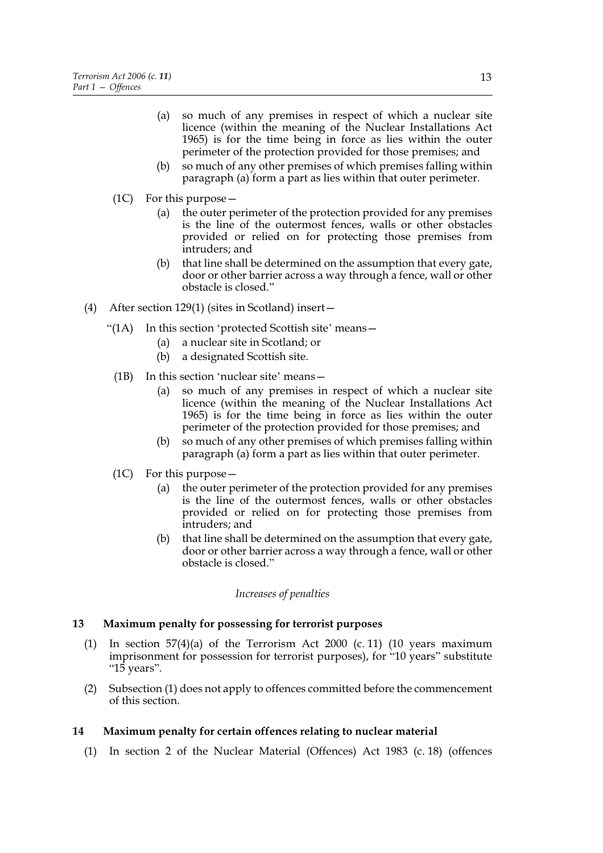- (a) so much of any premises in respect of which a nuclear site licence (within the meaning of the Nuclear Installations Act 1965) is for the time being in force as lies within the outer perimeter of the protection provided for those premises; and
- (b) so much of any other premises of which premises falling within paragraph (a) form a part as lies within that outer perimeter.
- (1C) For this purpose—
	- (a) the outer perimeter of the protection provided for any premises is the line of the outermost fences, walls or other obstacles provided or relied on for protecting those premises from intruders; and
	- (b) that line shall be determined on the assumption that every gate, door or other barrier across a way through a fence, wall or other obstacle is closed."
- (4) After section 129(1) (sites in Scotland) insert—
	- "(1A) In this section 'protected Scottish site' means—
		- (a) a nuclear site in Scotland; or
		- (b) a designated Scottish site.
	- (1B) In this section 'nuclear site' means—
		- (a) so much of any premises in respect of which a nuclear site licence (within the meaning of the Nuclear Installations Act 1965) is for the time being in force as lies within the outer perimeter of the protection provided for those premises; and
		- (b) so much of any other premises of which premises falling within paragraph (a) form a part as lies within that outer perimeter.
	- (1C) For this purpose—
		- (a) the outer perimeter of the protection provided for any premises is the line of the outermost fences, walls or other obstacles provided or relied on for protecting those premises from intruders; and
		- (b) that line shall be determined on the assumption that every gate, door or other barrier across a way through a fence, wall or other obstacle is closed."

## *Increases of penalties*

## **13 Maximum penalty for possessing for terrorist purposes**

- (1) In section  $57(4)(a)$  of the Terrorism Act 2000 (c. 11) (10 years maximum imprisonment for possession for terrorist purposes), for "10 years" substitute "15 years".
- (2) Subsection (1) does not apply to offences committed before the commencement of this section.

## **14 Maximum penalty for certain offences relating to nuclear material**

(1) In section 2 of the Nuclear Material (Offences) Act 1983 (c. 18) (offences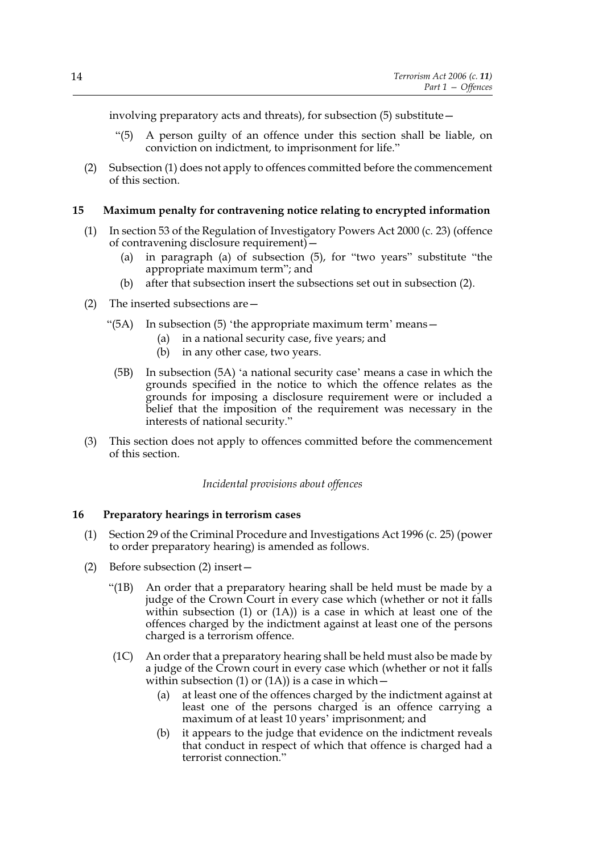involving preparatory acts and threats), for subsection (5) substitute—

- "(5) A person guilty of an offence under this section shall be liable, on conviction on indictment, to imprisonment for life."
- (2) Subsection (1) does not apply to offences committed before the commencement of this section.

#### **15 Maximum penalty for contravening notice relating to encrypted information**

- (1) In section 53 of the Regulation of Investigatory Powers Act 2000 (c. 23) (offence of contravening disclosure requirement)—
	- (a) in paragraph (a) of subsection (5), for "two years" substitute "the appropriate maximum term"; and
	- (b) after that subsection insert the subsections set out in subsection (2).
- (2) The inserted subsections are—
	- " $(5A)$  In subsection  $(5)$  'the appropriate maximum term' means -
		- (a) in a national security case, five years; and
		- (b) in any other case, two years.
	- (5B) In subsection (5A) 'a national security case' means a case in which the grounds specified in the notice to which the offence relates as the grounds for imposing a disclosure requirement were or included a belief that the imposition of the requirement was necessary in the interests of national security."
- (3) This section does not apply to offences committed before the commencement of this section.

#### *Incidental provisions about offences*

#### **16 Preparatory hearings in terrorism cases**

- (1) Section 29 of the Criminal Procedure and Investigations Act 1996 (c. 25) (power to order preparatory hearing) is amended as follows.
- (2) Before subsection (2) insert—
	- "(1B) An order that a preparatory hearing shall be held must be made by a judge of the Crown Court in every case which (whether or not it falls within subsection (1) or (1A)) is a case in which at least one of the offences charged by the indictment against at least one of the persons charged is a terrorism offence.
	- (1C) An order that a preparatory hearing shall be held must also be made by a judge of the Crown court in every case which (whether or not it falls within subsection (1) or (1A)) is a case in which  $-$ 
		- (a) at least one of the offences charged by the indictment against at least one of the persons charged is an offence carrying a maximum of at least 10 years' imprisonment; and
		- (b) it appears to the judge that evidence on the indictment reveals that conduct in respect of which that offence is charged had a terrorist connection."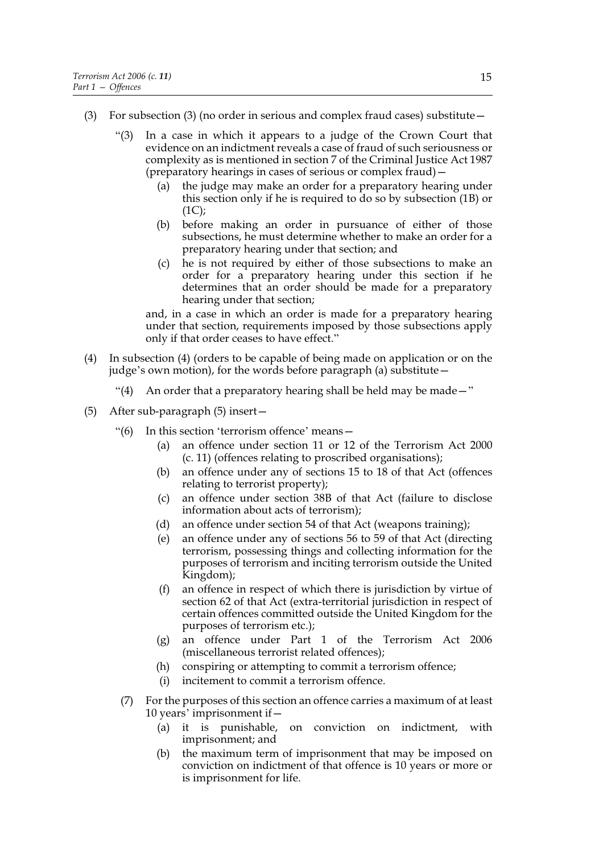- (3) For subsection (3) (no order in serious and complex fraud cases) substitute—
	- "(3) In a case in which it appears to a judge of the Crown Court that evidence on an indictment reveals a case of fraud of such seriousness or complexity as is mentioned in section 7 of the Criminal Justice Act 1987 (preparatory hearings in cases of serious or complex fraud)—
		- (a) the judge may make an order for a preparatory hearing under this section only if he is required to do so by subsection (1B) or  $(1C)$ ;
		- (b) before making an order in pursuance of either of those subsections, he must determine whether to make an order for a preparatory hearing under that section; and
		- (c) he is not required by either of those subsections to make an order for a preparatory hearing under this section if he determines that an order should be made for a preparatory hearing under that section;

and, in a case in which an order is made for a preparatory hearing under that section, requirements imposed by those subsections apply only if that order ceases to have effect."

- (4) In subsection (4) (orders to be capable of being made on application or on the judge's own motion), for the words before paragraph (a) substitute—
	- "(4) An order that a preparatory hearing shall be held may be made  $-$ "
- (5) After sub-paragraph (5) insert—
	- "(6) In this section 'terrorism offence' means—
		- (a) an offence under section 11 or 12 of the Terrorism Act 2000 (c. 11) (offences relating to proscribed organisations);
		- (b) an offence under any of sections 15 to 18 of that Act (offences relating to terrorist property);
		- (c) an offence under section 38B of that Act (failure to disclose information about acts of terrorism);
		- (d) an offence under section 54 of that Act (weapons training);
		- (e) an offence under any of sections 56 to 59 of that Act (directing terrorism, possessing things and collecting information for the purposes of terrorism and inciting terrorism outside the United Kingdom);
		- (f) an offence in respect of which there is jurisdiction by virtue of section 62 of that Act (extra-territorial jurisdiction in respect of certain offences committed outside the United Kingdom for the purposes of terrorism etc.);
		- (g) an offence under Part 1 of the Terrorism Act 2006 (miscellaneous terrorist related offences);
		- (h) conspiring or attempting to commit a terrorism offence;
		- (i) incitement to commit a terrorism offence.
	- (7) For the purposes of this section an offence carries a maximum of at least 10 years' imprisonment if—
		- (a) it is punishable, on conviction on indictment, with imprisonment; and
		- (b) the maximum term of imprisonment that may be imposed on conviction on indictment of that offence is 10 years or more or is imprisonment for life.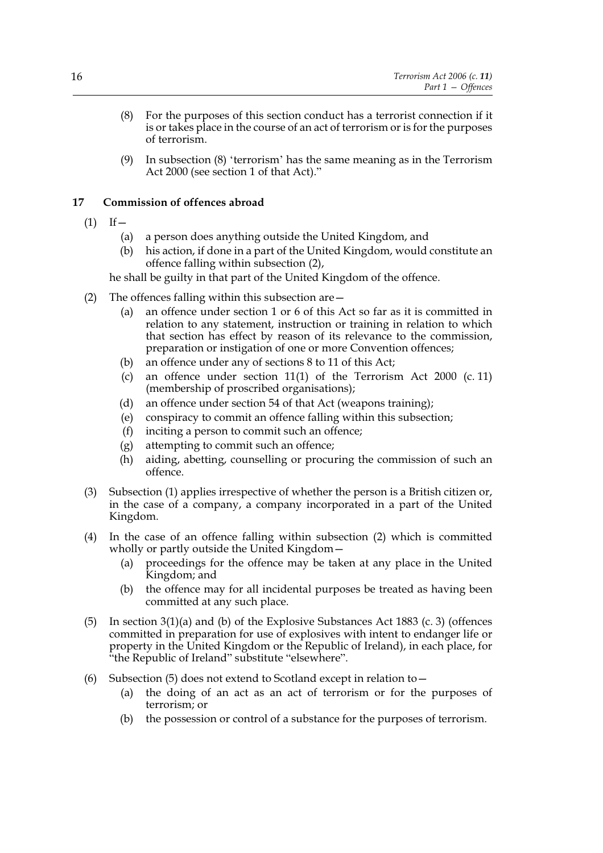- (8) For the purposes of this section conduct has a terrorist connection if it is or takes place in the course of an act of terrorism or is for the purposes of terrorism.
- (9) In subsection (8) 'terrorism' has the same meaning as in the Terrorism Act 2000 (see section 1 of that Act)."

## **17 Commission of offences abroad**

- $(1)$  If  $-$ 
	- (a) a person does anything outside the United Kingdom, and
	- (b) his action, if done in a part of the United Kingdom, would constitute an offence falling within subsection (2),

he shall be guilty in that part of the United Kingdom of the offence.

- (2) The offences falling within this subsection are—
	- (a) an offence under section 1 or 6 of this Act so far as it is committed in relation to any statement, instruction or training in relation to which that section has effect by reason of its relevance to the commission, preparation or instigation of one or more Convention offences;
	- (b) an offence under any of sections 8 to 11 of this Act;
	- (c) an offence under section 11(1) of the Terrorism Act 2000 (c. 11) (membership of proscribed organisations);
	- (d) an offence under section 54 of that Act (weapons training);
	- (e) conspiracy to commit an offence falling within this subsection;
	- (f) inciting a person to commit such an offence;
	- (g) attempting to commit such an offence;
	- (h) aiding, abetting, counselling or procuring the commission of such an offence.
- (3) Subsection (1) applies irrespective of whether the person is a British citizen or, in the case of a company, a company incorporated in a part of the United Kingdom.
- (4) In the case of an offence falling within subsection (2) which is committed wholly or partly outside the United Kingdom—
	- (a) proceedings for the offence may be taken at any place in the United Kingdom; and
	- (b) the offence may for all incidental purposes be treated as having been committed at any such place.
- (5) In section 3(1)(a) and (b) of the Explosive Substances Act 1883 (c. 3) (offences committed in preparation for use of explosives with intent to endanger life or property in the United Kingdom or the Republic of Ireland), in each place, for "the Republic of Ireland" substitute "elsewhere".
- (6) Subsection (5) does not extend to Scotland except in relation to  $-$ 
	- (a) the doing of an act as an act of terrorism or for the purposes of terrorism; or
	- (b) the possession or control of a substance for the purposes of terrorism.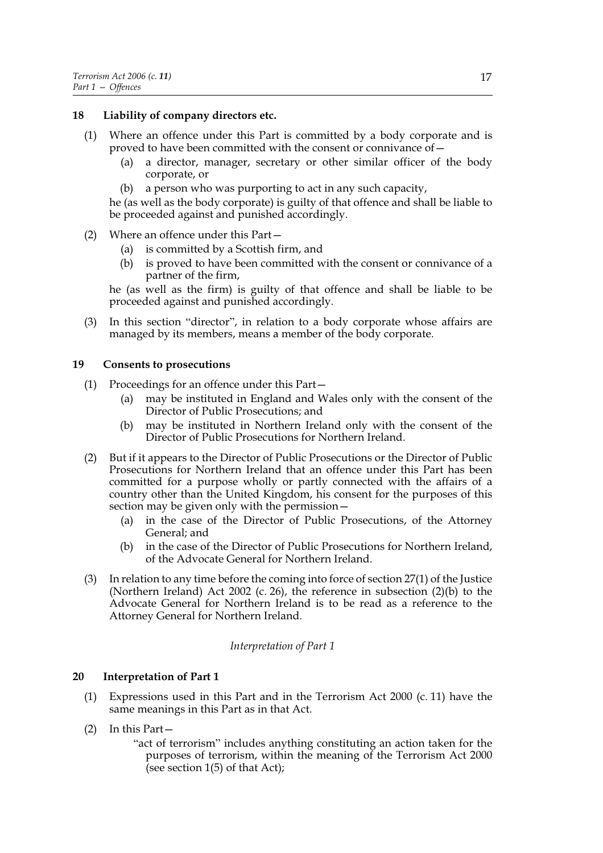## **18 Liability of company directors etc.**

- (1) Where an offence under this Part is committed by a body corporate and is proved to have been committed with the consent or connivance of—
	- (a) a director, manager, secretary or other similar officer of the body corporate, or
	- (b) a person who was purporting to act in any such capacity,

he (as well as the body corporate) is guilty of that offence and shall be liable to be proceeded against and punished accordingly.

- (2) Where an offence under this Part—
	- (a) is committed by a Scottish firm, and
	- (b) is proved to have been committed with the consent or connivance of a partner of the firm,

he (as well as the firm) is guilty of that offence and shall be liable to be proceeded against and punished accordingly.

(3) In this section "director", in relation to a body corporate whose affairs are managed by its members, means a member of the body corporate.

#### **19 Consents to prosecutions**

- (1) Proceedings for an offence under this Part—
	- (a) may be instituted in England and Wales only with the consent of the Director of Public Prosecutions; and
	- (b) may be instituted in Northern Ireland only with the consent of the Director of Public Prosecutions for Northern Ireland.
- (2) But if it appears to the Director of Public Prosecutions or the Director of Public Prosecutions for Northern Ireland that an offence under this Part has been committed for a purpose wholly or partly connected with the affairs of a country other than the United Kingdom, his consent for the purposes of this section may be given only with the permission—
	- (a) in the case of the Director of Public Prosecutions, of the Attorney General; and
	- (b) in the case of the Director of Public Prosecutions for Northern Ireland, of the Advocate General for Northern Ireland.
- (3) In relation to any time before the coming into force of section 27(1) of the Justice (Northern Ireland) Act 2002 (c. 26), the reference in subsection (2)(b) to the Advocate General for Northern Ireland is to be read as a reference to the Attorney General for Northern Ireland.

#### *Interpretation of Part 1*

#### **20 Interpretation of Part 1**

- (1) Expressions used in this Part and in the Terrorism Act 2000 (c. 11) have the same meanings in this Part as in that Act.
- (2) In this Part—
	- "act of terrorism" includes anything constituting an action taken for the purposes of terrorism, within the meaning of the Terrorism Act 2000 (see section  $1(5)$  of that Act);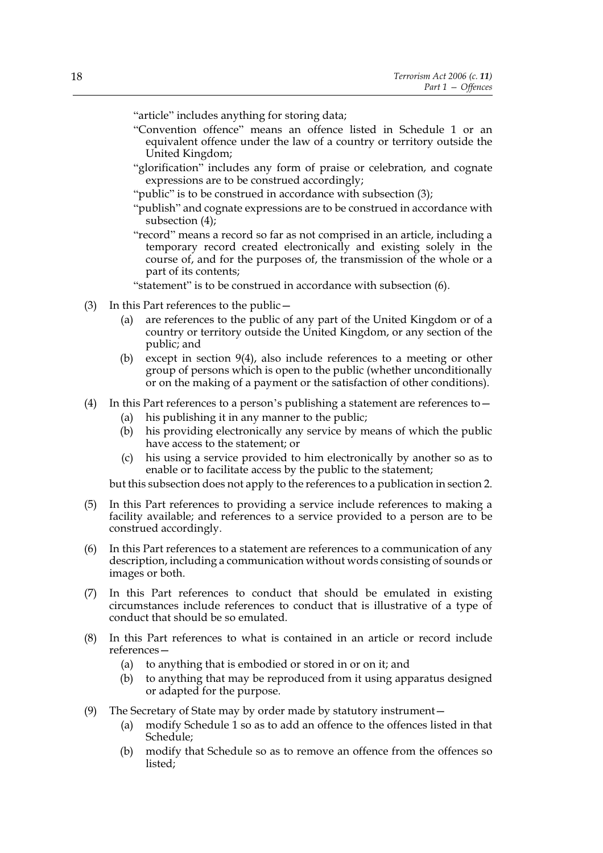"article" includes anything for storing data;

- "Convention offence" means an offence listed in Schedule 1 or an equivalent offence under the law of a country or territory outside the United Kingdom;
- "glorification" includes any form of praise or celebration, and cognate expressions are to be construed accordingly;
- "public" is to be construed in accordance with subsection (3);
- "publish" and cognate expressions are to be construed in accordance with subsection (4);
- "record" means a record so far as not comprised in an article, including a temporary record created electronically and existing solely in the course of, and for the purposes of, the transmission of the whole or a part of its contents;

"statement" is to be construed in accordance with subsection (6).

- (3) In this Part references to the public—
	- (a) are references to the public of any part of the United Kingdom or of a country or territory outside the United Kingdom, or any section of the public; and
	- (b) except in section 9(4), also include references to a meeting or other group of persons which is open to the public (whether unconditionally or on the making of a payment or the satisfaction of other conditions).
- (4) In this Part references to a person's publishing a statement are references to  $-$ 
	- (a) his publishing it in any manner to the public;
	- (b) his providing electronically any service by means of which the public have access to the statement; or
	- (c) his using a service provided to him electronically by another so as to enable or to facilitate access by the public to the statement;

but this subsection does not apply to the references to a publication in section 2.

- (5) In this Part references to providing a service include references to making a facility available; and references to a service provided to a person are to be construed accordingly.
- (6) In this Part references to a statement are references to a communication of any description, including a communication without words consisting of sounds or images or both.
- (7) In this Part references to conduct that should be emulated in existing circumstances include references to conduct that is illustrative of a type of conduct that should be so emulated.
- (8) In this Part references to what is contained in an article or record include references—
	- (a) to anything that is embodied or stored in or on it; and
	- (b) to anything that may be reproduced from it using apparatus designed or adapted for the purpose.
- (9) The Secretary of State may by order made by statutory instrument—
	- (a) modify Schedule 1 so as to add an offence to the offences listed in that Schedule;
	- (b) modify that Schedule so as to remove an offence from the offences so listed;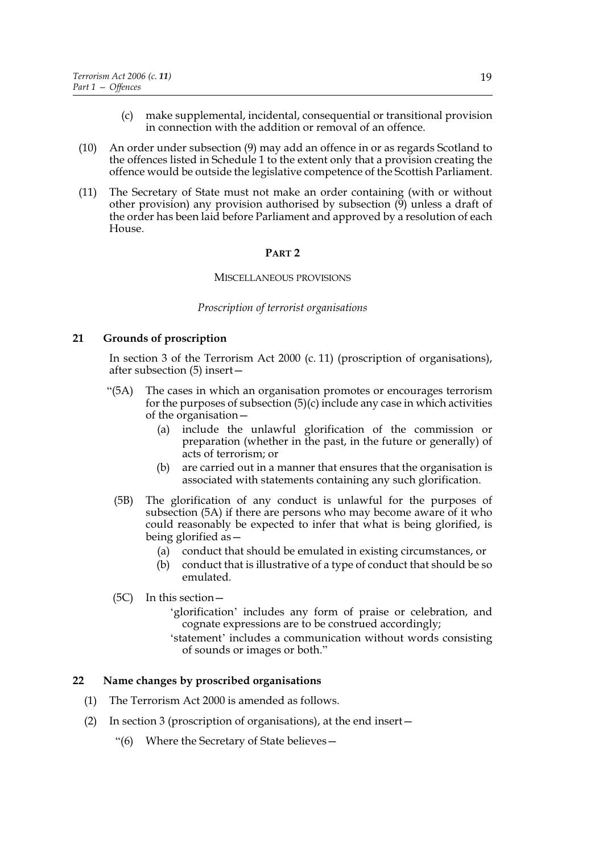- (c) make supplemental, incidental, consequential or transitional provision in connection with the addition or removal of an offence.
- (10) An order under subsection (9) may add an offence in or as regards Scotland to the offences listed in Schedule 1 to the extent only that a provision creating the offence would be outside the legislative competence of the Scottish Parliament.
- (11) The Secretary of State must not make an order containing (with or without other provision) any provision authorised by subsection (9) unless a draft of the order has been laid before Parliament and approved by a resolution of each House.

#### **PART 2**

#### MISCELLANEOUS PROVISIONS

*Proscription of terrorist organisations*

#### **21 Grounds of proscription**

In section 3 of the Terrorism Act 2000 (c. 11) (proscription of organisations), after subsection (5) insert—

- "(5A) The cases in which an organisation promotes or encourages terrorism for the purposes of subsection  $(5)(c)$  include any case in which activities of the organisation—
	- (a) include the unlawful glorification of the commission or preparation (whether in the past, in the future or generally) of acts of terrorism; or
	- (b) are carried out in a manner that ensures that the organisation is associated with statements containing any such glorification.
	- (5B) The glorification of any conduct is unlawful for the purposes of subsection (5A) if there are persons who may become aware of it who could reasonably be expected to infer that what is being glorified, is being glorified as—
		- (a) conduct that should be emulated in existing circumstances, or
		- (b) conduct that is illustrative of a type of conduct that should be so emulated.
- (5C) In this section—
	- 'glorification' includes any form of praise or celebration, and cognate expressions are to be construed accordingly;
	- 'statement' includes a communication without words consisting of sounds or images or both."

#### **22 Name changes by proscribed organisations**

- (1) The Terrorism Act 2000 is amended as follows.
- (2) In section 3 (proscription of organisations), at the end insert—
	- "(6) Where the Secretary of State believes—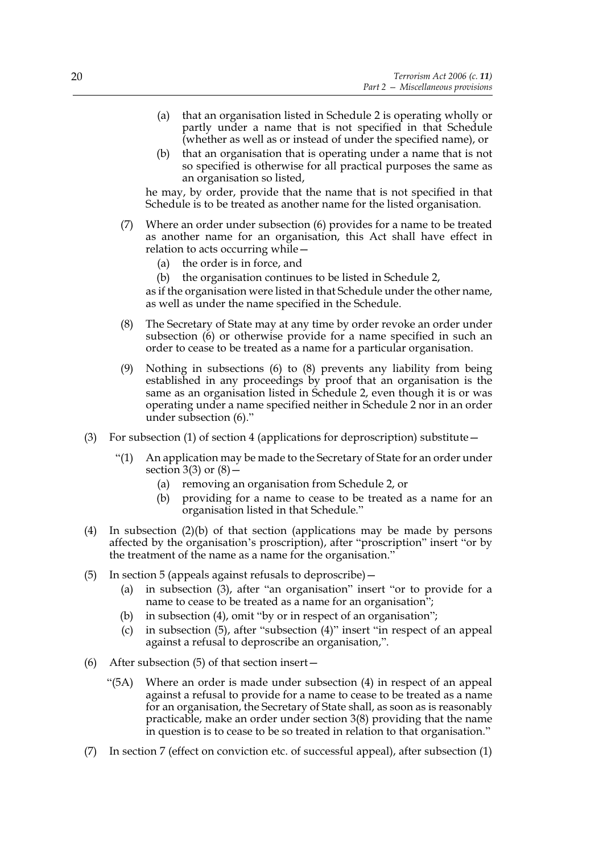- (a) that an organisation listed in Schedule 2 is operating wholly or partly under a name that is not specified in that Schedule (whether as well as or instead of under the specified name), or
- (b) that an organisation that is operating under a name that is not so specified is otherwise for all practical purposes the same as an organisation so listed,

he may, by order, provide that the name that is not specified in that Schedule is to be treated as another name for the listed organisation.

- (7) Where an order under subsection (6) provides for a name to be treated as another name for an organisation, this Act shall have effect in relation to acts occurring while—
	- (a) the order is in force, and
	- (b) the organisation continues to be listed in Schedule 2,

as if the organisation were listed in that Schedule under the other name, as well as under the name specified in the Schedule.

- (8) The Secretary of State may at any time by order revoke an order under subsection (6) or otherwise provide for a name specified in such an order to cease to be treated as a name for a particular organisation.
- (9) Nothing in subsections (6) to (8) prevents any liability from being established in any proceedings by proof that an organisation is the same as an organisation listed in Schedule 2, even though it is or was operating under a name specified neither in Schedule 2 nor in an order under subsection (6)."
- (3) For subsection (1) of section 4 (applications for deproscription) substitute  $-$ 
	- "(1) An application may be made to the Secretary of State for an order under section 3(3) or  $(8)$  –
		- (a) removing an organisation from Schedule 2, or
		- (b) providing for a name to cease to be treated as a name for an organisation listed in that Schedule."
- (4) In subsection (2)(b) of that section (applications may be made by persons affected by the organisation's proscription), after "proscription" insert "or by the treatment of the name as a name for the organisation."
- (5) In section 5 (appeals against refusals to deproscribe)—
	- (a) in subsection (3), after "an organisation" insert "or to provide for a name to cease to be treated as a name for an organisation";
	- (b) in subsection (4), omit "by or in respect of an organisation";
	- (c) in subsection (5), after "subsection (4)" insert "in respect of an appeal against a refusal to deproscribe an organisation,".
- (6) After subsection (5) of that section insert—
	- "(5A) Where an order is made under subsection (4) in respect of an appeal against a refusal to provide for a name to cease to be treated as a name for an organisation, the Secretary of State shall, as soon as is reasonably practicable, make an order under section 3(8) providing that the name in question is to cease to be so treated in relation to that organisation."
- (7) In section 7 (effect on conviction etc. of successful appeal), after subsection (1)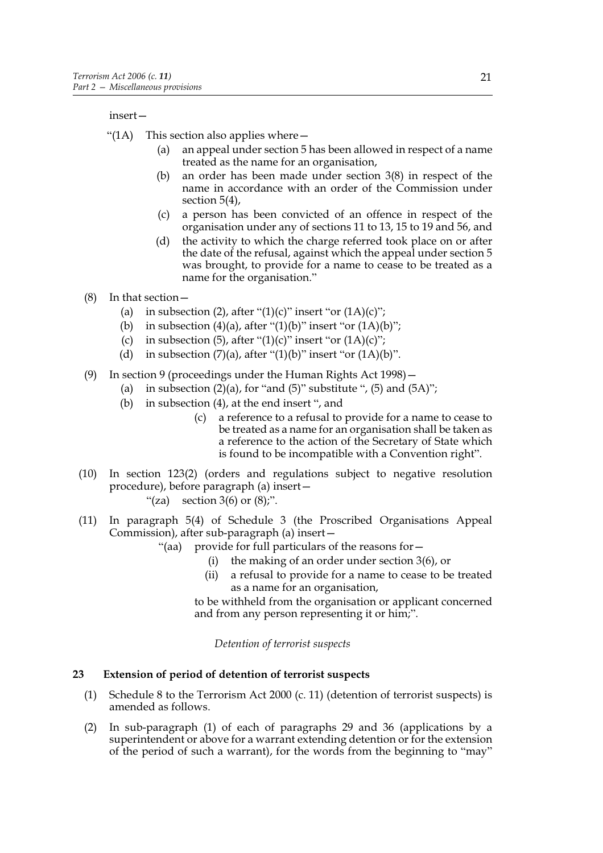#### insert—

" $(1A)$  This section also applies where  $-$ 

- (a) an appeal under section 5 has been allowed in respect of a name treated as the name for an organisation,
- (b) an order has been made under section 3(8) in respect of the name in accordance with an order of the Commission under section 5(4),
- (c) a person has been convicted of an offence in respect of the organisation under any of sections 11 to 13, 15 to 19 and 56, and
- (d) the activity to which the charge referred took place on or after the date of the refusal, against which the appeal under section 5 was brought, to provide for a name to cease to be treated as a name for the organisation."
- (8) In that section—
	- (a) in subsection (2), after "(1)(c)" insert "or  $(1A)(c)$ ";
	- (b) in subsection (4)(a), after " $(1)(b)$ " insert "or  $(1A)(b)$ ";
	- (c) in subsection (5), after " $(1)(c)$ " insert "or  $(1A)(c)$ ";
	- (d) in subsection  $(7)(a)$ , after " $(1)(b)$ " insert "or  $(1A)(b)$ ".
- (9) In section 9 (proceedings under the Human Rights Act 1998)—
	- (a) in subsection  $(2)(a)$ , for "and  $(5)$ " substitute ",  $(5)$  and  $(5A)$ ";
	- (b) in subsection (4), at the end insert ", and
		- (c) a reference to a refusal to provide for a name to cease to be treated as a name for an organisation shall be taken as a reference to the action of the Secretary of State which is found to be incompatible with a Convention right".
- (10) In section 123(2) (orders and regulations subject to negative resolution procedure), before paragraph (a) insert— " $(za)$  section 3(6) or  $(8)$ ;".
- (11) In paragraph 5(4) of Schedule 3 (the Proscribed Organisations Appeal Commission), after sub-paragraph (a) insert—
	- "(aa) provide for full particulars of the reasons for  $-$ 
		- (i) the making of an order under section 3(6), or
		- (ii) a refusal to provide for a name to cease to be treated as a name for an organisation,

to be withheld from the organisation or applicant concerned and from any person representing it or him;".

*Detention of terrorist suspects*

## **23 Extension of period of detention of terrorist suspects**

- (1) Schedule 8 to the Terrorism Act 2000 (c. 11) (detention of terrorist suspects) is amended as follows.
- (2) In sub-paragraph (1) of each of paragraphs 29 and 36 (applications by a superintendent or above for a warrant extending detention or for the extension of the period of such a warrant), for the words from the beginning to "may"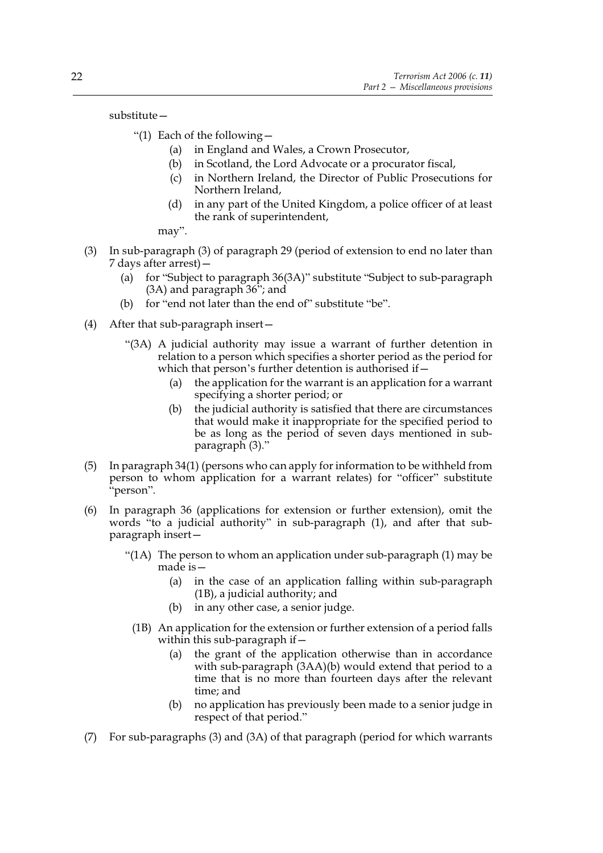substitute—

"(1) Each of the following—

- (a) in England and Wales, a Crown Prosecutor,
- (b) in Scotland, the Lord Advocate or a procurator fiscal,
- (c) in Northern Ireland, the Director of Public Prosecutions for Northern Ireland,
- (d) in any part of the United Kingdom, a police officer of at least the rank of superintendent,
- may".
- (3) In sub-paragraph (3) of paragraph 29 (period of extension to end no later than 7 days after arrest)—
	- (a) for "Subject to paragraph 36(3A)" substitute "Subject to sub-paragraph (3A) and paragraph 36"; and
	- (b) for "end not later than the end of" substitute "be".
- (4) After that sub-paragraph insert—
	- "(3A) A judicial authority may issue a warrant of further detention in relation to a person which specifies a shorter period as the period for which that person's further detention is authorised if -
		- (a) the application for the warrant is an application for a warrant specifying a shorter period; or
		- (b) the judicial authority is satisfied that there are circumstances that would make it inappropriate for the specified period to be as long as the period of seven days mentioned in subparagraph (3)."
- (5) In paragraph 34(1) (persons who can apply for information to be withheld from person to whom application for a warrant relates) for "officer" substitute "person".
- (6) In paragraph 36 (applications for extension or further extension), omit the words "to a judicial authority" in sub-paragraph (1), and after that subparagraph insert—
	- "(1A) The person to whom an application under sub-paragraph (1) may be made is—
		- (a) in the case of an application falling within sub-paragraph (1B), a judicial authority; and
		- (b) in any other case, a senior judge.
	- (1B) An application for the extension or further extension of a period falls within this sub-paragraph if -
		- (a) the grant of the application otherwise than in accordance with sub-paragraph (3AA)(b) would extend that period to a time that is no more than fourteen days after the relevant time; and
		- (b) no application has previously been made to a senior judge in respect of that period."
- (7) For sub-paragraphs (3) and (3A) of that paragraph (period for which warrants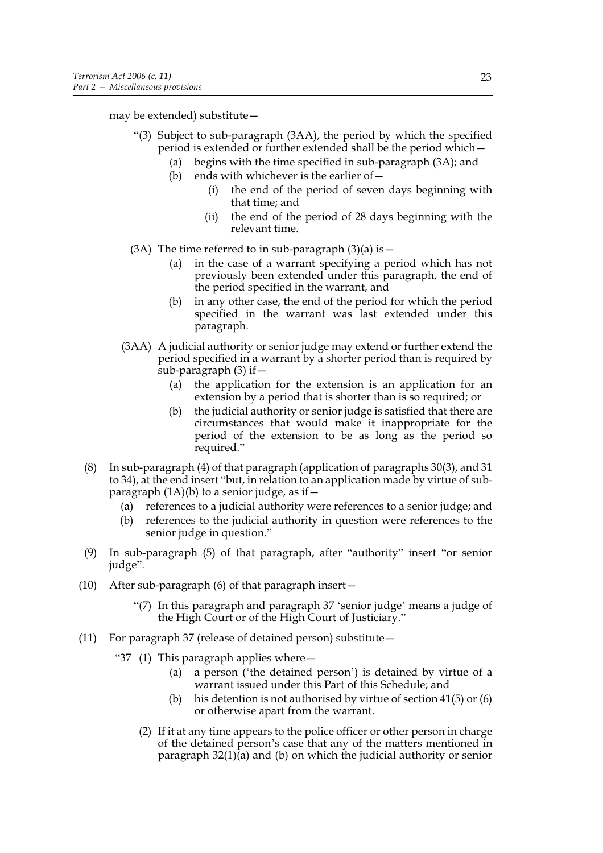may be extended) substitute—

- "(3) Subject to sub-paragraph (3AA), the period by which the specified period is extended or further extended shall be the period which—
	- (a) begins with the time specified in sub-paragraph (3A); and
	- (b) ends with whichever is the earlier of  $$ 
		- the end of the period of seven days beginning with that time; and
		- (ii) the end of the period of 28 days beginning with the relevant time.
- (3A) The time referred to in sub-paragraph  $(3)(a)$  is  $-$ 
	- (a) in the case of a warrant specifying a period which has not previously been extended under this paragraph, the end of the period specified in the warrant, and
	- (b) in any other case, the end of the period for which the period specified in the warrant was last extended under this paragraph.
- (3AA) A judicial authority or senior judge may extend or further extend the period specified in a warrant by a shorter period than is required by sub-paragraph  $(3)$  if  $-$ 
	- (a) the application for the extension is an application for an extension by a period that is shorter than is so required; or
	- (b) the judicial authority or senior judge is satisfied that there are circumstances that would make it inappropriate for the period of the extension to be as long as the period so required."
- (8) In sub-paragraph (4) of that paragraph (application of paragraphs 30(3), and 31 to 34), at the end insert "but, in relation to an application made by virtue of subparagraph  $(1A)(b)$  to a senior judge, as if  $-$ 
	- (a) references to a judicial authority were references to a senior judge; and
	- (b) references to the judicial authority in question were references to the senior judge in question."
- (9) In sub-paragraph (5) of that paragraph, after "authority" insert "or senior judge".
- (10) After sub-paragraph (6) of that paragraph insert—
	- "(7) In this paragraph and paragraph 37 'senior judge' means a judge of the High Court or of the High Court of Justiciary."
- (11) For paragraph 37 (release of detained person) substitute—
	- "37 (1) This paragraph applies where—
		- (a) a person ('the detained person') is detained by virtue of a warrant issued under this Part of this Schedule; and
		- (b) his detention is not authorised by virtue of section  $41(5)$  or  $(6)$ or otherwise apart from the warrant.
		- (2) If it at any time appears to the police officer or other person in charge of the detained person's case that any of the matters mentioned in paragraph 32(1)(a) and (b) on which the judicial authority or senior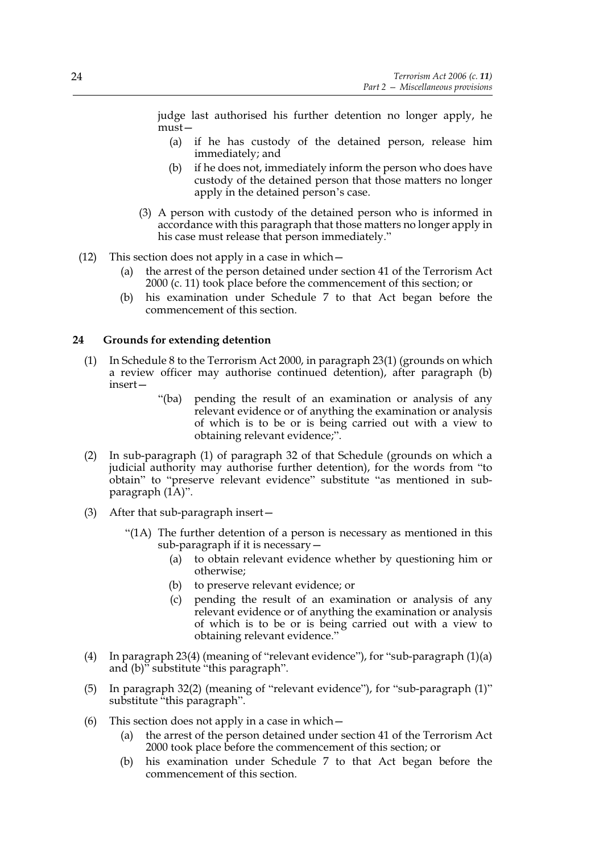judge last authorised his further detention no longer apply, he must—

- (a) if he has custody of the detained person, release him immediately; and
- (b) if he does not, immediately inform the person who does have custody of the detained person that those matters no longer apply in the detained person's case.
- (3) A person with custody of the detained person who is informed in accordance with this paragraph that those matters no longer apply in his case must release that person immediately."
- (12) This section does not apply in a case in which  $-$ 
	- (a) the arrest of the person detained under section 41 of the Terrorism Act 2000 (c. 11) took place before the commencement of this section; or
	- (b) his examination under Schedule 7 to that Act began before the commencement of this section.

## **24 Grounds for extending detention**

- (1) In Schedule 8 to the Terrorism Act 2000, in paragraph 23(1) (grounds on which a review officer may authorise continued detention), after paragraph (b) insert—
	- "(ba) pending the result of an examination or analysis of any relevant evidence or of anything the examination or analysis of which is to be or is being carried out with a view to obtaining relevant evidence;".
- (2) In sub-paragraph (1) of paragraph 32 of that Schedule (grounds on which a judicial authority may authorise further detention), for the words from "to obtain" to "preserve relevant evidence" substitute "as mentioned in subparagraph (1A)".
- (3) After that sub-paragraph insert—
	- "(1A) The further detention of a person is necessary as mentioned in this sub-paragraph if it is necessary—
		- (a) to obtain relevant evidence whether by questioning him or otherwise;
		- (b) to preserve relevant evidence; or
		- (c) pending the result of an examination or analysis of any relevant evidence or of anything the examination or analysis of which is to be or is being carried out with a view to obtaining relevant evidence."
- (4) In paragraph 23(4) (meaning of "relevant evidence"), for "sub-paragraph (1)(a) and (b)" substitute "this paragraph".
- (5) In paragraph 32(2) (meaning of "relevant evidence"), for "sub-paragraph (1)" substitute "this paragraph".
- (6) This section does not apply in a case in which  $-$ 
	- (a) the arrest of the person detained under section 41 of the Terrorism Act 2000 took place before the commencement of this section; or
	- (b) his examination under Schedule 7 to that Act began before the commencement of this section.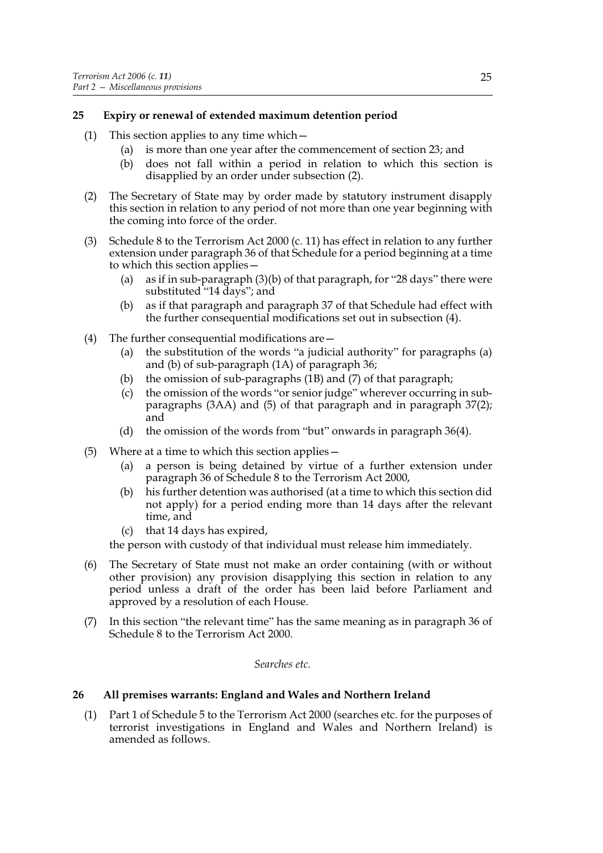## **25 Expiry or renewal of extended maximum detention period**

- (1) This section applies to any time which  $-$ 
	- (a) is more than one year after the commencement of section 23; and
	- (b) does not fall within a period in relation to which this section is disapplied by an order under subsection (2).
- (2) The Secretary of State may by order made by statutory instrument disapply this section in relation to any period of not more than one year beginning with the coming into force of the order.
- (3) Schedule 8 to the Terrorism Act 2000 (c. 11) has effect in relation to any further extension under paragraph 36 of that Schedule for a period beginning at a time to which this section applies—
	- (a) as if in sub-paragraph (3)(b) of that paragraph, for "28 days" there were substituted "14 days"; and
	- (b) as if that paragraph and paragraph 37 of that Schedule had effect with the further consequential modifications set out in subsection (4).
- (4) The further consequential modifications are—
	- (a) the substitution of the words "a judicial authority" for paragraphs (a) and (b) of sub-paragraph (1A) of paragraph 36;
	- (b) the omission of sub-paragraphs (1B) and (7) of that paragraph;
	- (c) the omission of the words "or senior judge" wherever occurring in subparagraphs (3AA) and (5) of that paragraph and in paragraph 37(2); and
	- (d) the omission of the words from "but" onwards in paragraph 36(4).
- (5) Where at a time to which this section applies—
	- (a) a person is being detained by virtue of a further extension under paragraph 36 of Schedule 8 to the Terrorism Act 2000,
	- (b) his further detention was authorised (at a time to which this section did not apply) for a period ending more than 14 days after the relevant time, and
	- (c) that 14 days has expired,

the person with custody of that individual must release him immediately.

- (6) The Secretary of State must not make an order containing (with or without other provision) any provision disapplying this section in relation to any period unless a draft of the order has been laid before Parliament and approved by a resolution of each House.
- (7) In this section "the relevant time" has the same meaning as in paragraph 36 of Schedule 8 to the Terrorism Act 2000.

#### *Searches etc.*

## **26 All premises warrants: England and Wales and Northern Ireland**

(1) Part 1 of Schedule 5 to the Terrorism Act 2000 (searches etc. for the purposes of terrorist investigations in England and Wales and Northern Ireland) is amended as follows.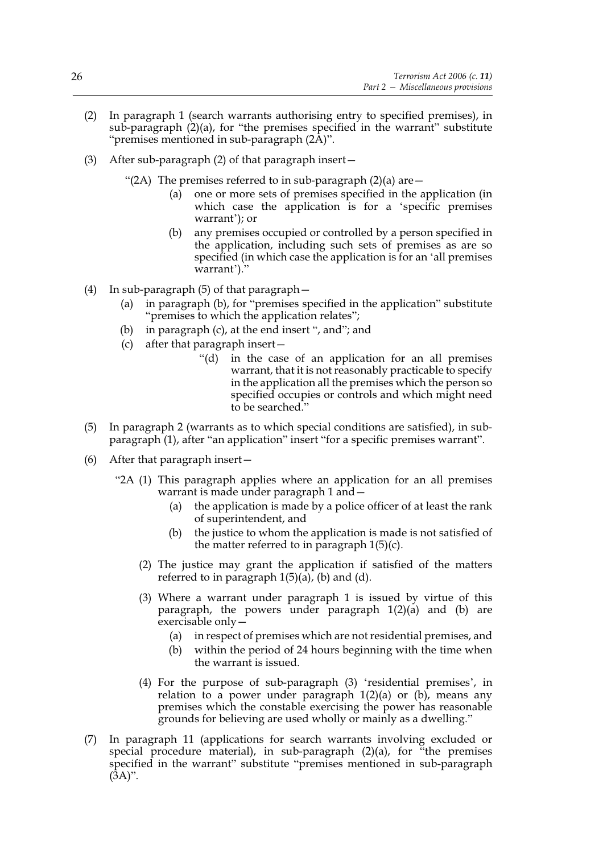- (2) In paragraph 1 (search warrants authorising entry to specified premises), in sub-paragraph (2)(a), for "the premises specified in the warrant" substitute "premises mentioned in sub-paragraph (2A)".
- (3) After sub-paragraph (2) of that paragraph insert—
	- "(2A) The premises referred to in sub-paragraph  $(2)(a)$  are  $-$ 
		- (a) one or more sets of premises specified in the application (in which case the application is for a 'specific premises warrant'); or
		- (b) any premises occupied or controlled by a person specified in the application, including such sets of premises as are so specified (in which case the application is for an 'all premises warrant')."
- (4) In sub-paragraph (5) of that paragraph—
	- (a) in paragraph (b), for "premises specified in the application" substitute "premises to which the application relates";
	- (b) in paragraph (c), at the end insert ", and"; and
	- (c) after that paragraph insert—
		- "(d) in the case of an application for an all premises warrant, that it is not reasonably practicable to specify in the application all the premises which the person so specified occupies or controls and which might need to be searched."
- (5) In paragraph 2 (warrants as to which special conditions are satisfied), in subparagraph (1), after "an application" insert "for a specific premises warrant".
- (6) After that paragraph insert—
	- "2A (1) This paragraph applies where an application for an all premises warrant is made under paragraph 1 and—
		- (a) the application is made by a police officer of at least the rank of superintendent, and
		- (b) the justice to whom the application is made is not satisfied of the matter referred to in paragraph  $1(5)(c)$ .
		- (2) The justice may grant the application if satisfied of the matters referred to in paragraph  $1(5)(a)$ , (b) and (d).
		- (3) Where a warrant under paragraph 1 is issued by virtue of this paragraph, the powers under paragraph 1(2)(a) and (b) are exercisable only—
			- (a) in respect of premises which are not residential premises, and
			- (b) within the period of 24 hours beginning with the time when the warrant is issued.
		- (4) For the purpose of sub-paragraph (3) 'residential premises', in relation to a power under paragraph  $1(2)(a)$  or  $(b)$ , means any premises which the constable exercising the power has reasonable grounds for believing are used wholly or mainly as a dwelling."
- (7) In paragraph 11 (applications for search warrants involving excluded or special procedure material), in sub-paragraph  $(2)(a)$ , for "the premises specified in the warrant" substitute "premises mentioned in sub-paragraph  $(3A)$ ".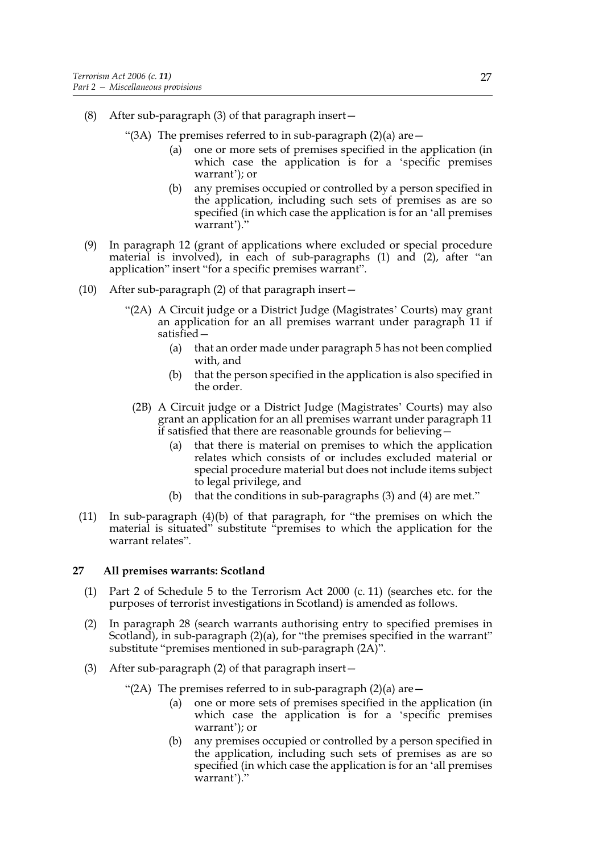- (8) After sub-paragraph (3) of that paragraph insert—
	- "(3A) The premises referred to in sub-paragraph  $(2)(a)$  are  $-$ 
		- (a) one or more sets of premises specified in the application (in which case the application is for a 'specific premises warrant'); or
		- (b) any premises occupied or controlled by a person specified in the application, including such sets of premises as are so specified (in which case the application is for an 'all premises warrant')."
- (9) In paragraph 12 (grant of applications where excluded or special procedure material is involved), in each of sub-paragraphs (1) and (2), after "an application" insert "for a specific premises warrant".
- (10) After sub-paragraph (2) of that paragraph insert—
	- "(2A) A Circuit judge or a District Judge (Magistrates' Courts) may grant an application for an all premises warrant under paragraph 11 if satisfied—
		- (a) that an order made under paragraph 5 has not been complied with, and
		- (b) that the person specified in the application is also specified in the order.
		- (2B) A Circuit judge or a District Judge (Magistrates' Courts) may also grant an application for an all premises warrant under paragraph 11 if satisfied that there are reasonable grounds for believing—
			- (a) that there is material on premises to which the application relates which consists of or includes excluded material or special procedure material but does not include items subject to legal privilege, and
			- (b) that the conditions in sub-paragraphs (3) and (4) are met."
- (11) In sub-paragraph (4)(b) of that paragraph, for "the premises on which the material is situated" substitute "premises to which the application for the warrant relates".

## **27 All premises warrants: Scotland**

- (1) Part 2 of Schedule 5 to the Terrorism Act 2000 (c. 11) (searches etc. for the purposes of terrorist investigations in Scotland) is amended as follows.
- (2) In paragraph 28 (search warrants authorising entry to specified premises in Scotland), in sub-paragraph (2)(a), for "the premises specified in the warrant" substitute "premises mentioned in sub-paragraph (2A)".
- (3) After sub-paragraph (2) of that paragraph insert—
	- "(2A) The premises referred to in sub-paragraph  $(2)(a)$  are  $-$ 
		- (a) one or more sets of premises specified in the application (in which case the application is for a 'specific premises warrant'); or
		- (b) any premises occupied or controlled by a person specified in the application, including such sets of premises as are so specified (in which case the application is for an 'all premises warrant')."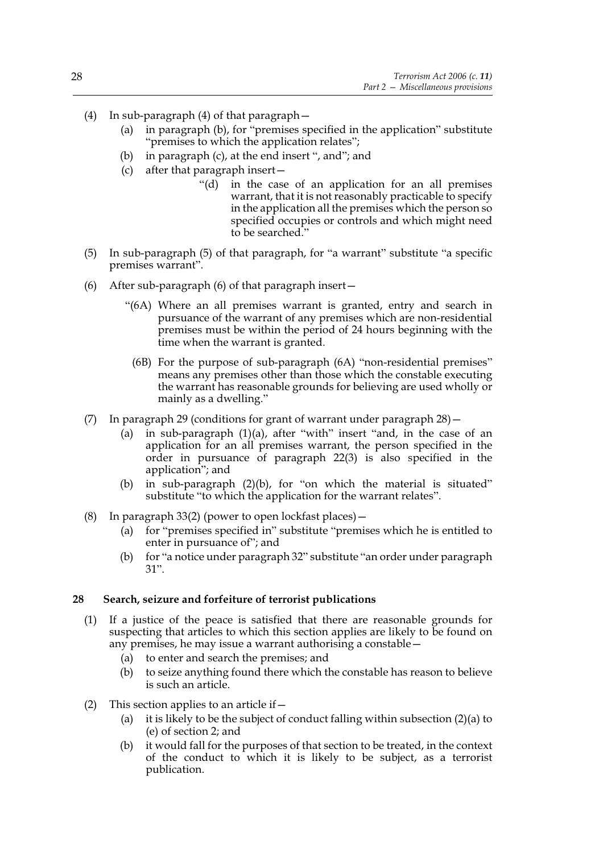- (4) In sub-paragraph (4) of that paragraph—
	- (a) in paragraph (b), for "premises specified in the application" substitute "premises to which the application relates";
	- (b) in paragraph (c), at the end insert ", and"; and
	- (c) after that paragraph insert—
		- "(d) in the case of an application for an all premises warrant, that it is not reasonably practicable to specify in the application all the premises which the person so specified occupies or controls and which might need to be searched."
- (5) In sub-paragraph (5) of that paragraph, for "a warrant" substitute "a specific premises warrant".
- (6) After sub-paragraph (6) of that paragraph insert—
	- "(6A) Where an all premises warrant is granted, entry and search in pursuance of the warrant of any premises which are non-residential premises must be within the period of 24 hours beginning with the time when the warrant is granted.
		- (6B) For the purpose of sub-paragraph (6A) "non-residential premises" means any premises other than those which the constable executing the warrant has reasonable grounds for believing are used wholly or mainly as a dwelling."
- (7) In paragraph 29 (conditions for grant of warrant under paragraph  $28$ )  $-$ 
	- (a) in sub-paragraph (1)(a), after "with" insert "and, in the case of an application for an all premises warrant, the person specified in the order in pursuance of paragraph 22(3) is also specified in the application"; and
	- (b) in sub-paragraph (2)(b), for "on which the material is situated" substitute "to which the application for the warrant relates".
- (8) In paragraph 33(2) (power to open lockfast places)—
	- (a) for "premises specified in" substitute "premises which he is entitled to enter in pursuance of"; and
	- (b) for "a notice under paragraph 32" substitute "an order under paragraph 31".

#### **28 Search, seizure and forfeiture of terrorist publications**

- (1) If a justice of the peace is satisfied that there are reasonable grounds for suspecting that articles to which this section applies are likely to be found on any premises, he may issue a warrant authorising a constable—
	- (a) to enter and search the premises; and
	- (b) to seize anything found there which the constable has reason to believe is such an article.
- (2) This section applies to an article if  $-$ 
	- (a) it is likely to be the subject of conduct falling within subsection (2)(a) to (e) of section 2; and
	- (b) it would fall for the purposes of that section to be treated, in the context of the conduct to which it is likely to be subject, as a terrorist publication.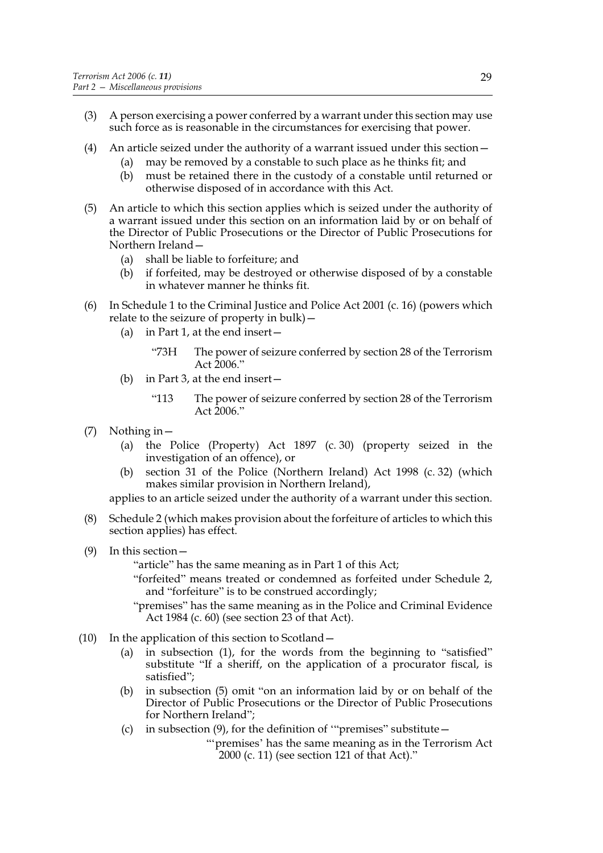- (3) A person exercising a power conferred by a warrant under this section may use such force as is reasonable in the circumstances for exercising that power.
- (4) An article seized under the authority of a warrant issued under this section—
	- (a) may be removed by a constable to such place as he thinks fit; and
	- (b) must be retained there in the custody of a constable until returned or otherwise disposed of in accordance with this Act.
- (5) An article to which this section applies which is seized under the authority of a warrant issued under this section on an information laid by or on behalf of the Director of Public Prosecutions or the Director of Public Prosecutions for Northern Ireland—
	- (a) shall be liable to forfeiture; and
	- (b) if forfeited, may be destroyed or otherwise disposed of by a constable in whatever manner he thinks fit.
- (6) In Schedule 1 to the Criminal Justice and Police Act 2001 (c. 16) (powers which relate to the seizure of property in bulk)—
	- (a) in Part 1, at the end insert—
		- "73H The power of seizure conferred by section 28 of the Terrorism Act  $2006$ ."
	- (b) in Part 3, at the end insert—
		- "113 The power of seizure conferred by section 28 of the Terrorism Act 2006."
- (7) Nothing in—
	- (a) the Police (Property) Act 1897 (c. 30) (property seized in the investigation of an offence), or
	- (b) section 31 of the Police (Northern Ireland) Act 1998 (c. 32) (which makes similar provision in Northern Ireland),

applies to an article seized under the authority of a warrant under this section.

- (8) Schedule 2 (which makes provision about the forfeiture of articles to which this section applies) has effect.
- (9) In this section—

"article" has the same meaning as in Part 1 of this Act;

- "forfeited" means treated or condemned as forfeited under Schedule 2, and "forfeiture" is to be construed accordingly;
- "premises" has the same meaning as in the Police and Criminal Evidence Act 1984 (c. 60) (see section 23 of that Act).
- (10) In the application of this section to Scotland—
	- (a) in subsection (1), for the words from the beginning to "satisfied" substitute "If a sheriff, on the application of a procurator fiscal, is satisfied";
	- (b) in subsection (5) omit "on an information laid by or on behalf of the Director of Public Prosecutions or the Director of Public Prosecutions for Northern Ireland";
	- (c) in subsection  $(9)$ , for the definition of ""premises" substitute  $-$ 
		- "'premises' has the same meaning as in the Terrorism Act 2000 (c. 11) (see section 121 of that Act)."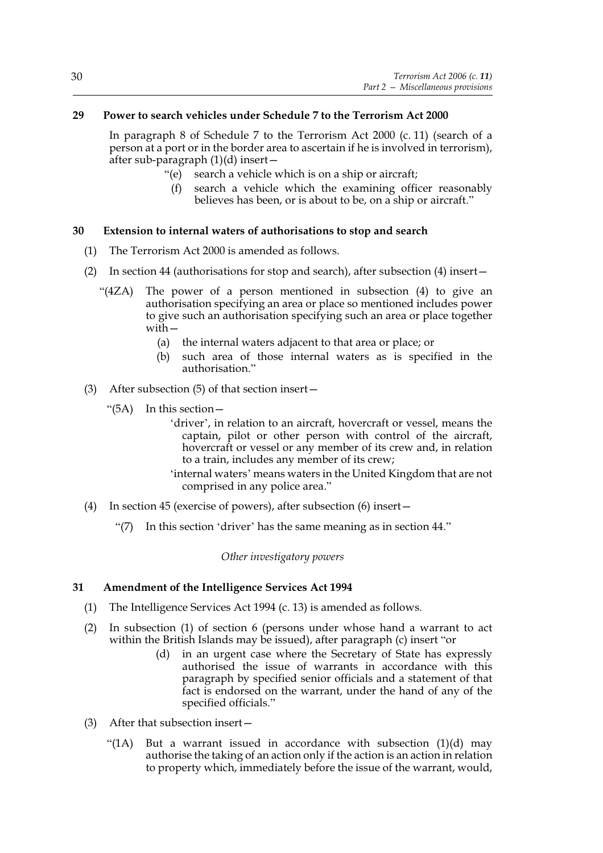## **29 Power to search vehicles under Schedule 7 to the Terrorism Act 2000**

In paragraph 8 of Schedule 7 to the Terrorism Act 2000 (c. 11) (search of a person at a port or in the border area to ascertain if he is involved in terrorism), after sub-paragraph (1)(d) insert—

- "(e) search a vehicle which is on a ship or aircraft;
	- (f) search a vehicle which the examining officer reasonably believes has been, or is about to be, on a ship or aircraft."

#### **30 Extension to internal waters of authorisations to stop and search**

- (1) The Terrorism Act 2000 is amended as follows.
- (2) In section 44 (authorisations for stop and search), after subsection (4) insert—
	- "(4ZA) The power of a person mentioned in subsection (4) to give an authorisation specifying an area or place so mentioned includes power to give such an authorisation specifying such an area or place together with—
		- (a) the internal waters adjacent to that area or place; or
		- (b) such area of those internal waters as is specified in the authorisation."
- (3) After subsection (5) of that section insert—
	- "(5A) In this section—
		- 'driver', in relation to an aircraft, hovercraft or vessel, means the captain, pilot or other person with control of the aircraft, hovercraft or vessel or any member of its crew and, in relation to a train, includes any member of its crew;
		- 'internal waters' means waters in the United Kingdom that are not comprised in any police area."
- (4) In section 45 (exercise of powers), after subsection (6) insert—
	- "(7) In this section 'driver' has the same meaning as in section 44."

#### *Other investigatory powers*

#### **31 Amendment of the Intelligence Services Act 1994**

- (1) The Intelligence Services Act 1994 (c. 13) is amended as follows.
- (2) In subsection (1) of section 6 (persons under whose hand a warrant to act within the British Islands may be issued), after paragraph (c) insert "or
	- (d) in an urgent case where the Secretary of State has expressly authorised the issue of warrants in accordance with this paragraph by specified senior officials and a statement of that fact is endorsed on the warrant, under the hand of any of the specified officials."
- (3) After that subsection insert—
	- "(1A) But a warrant issued in accordance with subsection  $(1)(d)$  may authorise the taking of an action only if the action is an action in relation to property which, immediately before the issue of the warrant, would,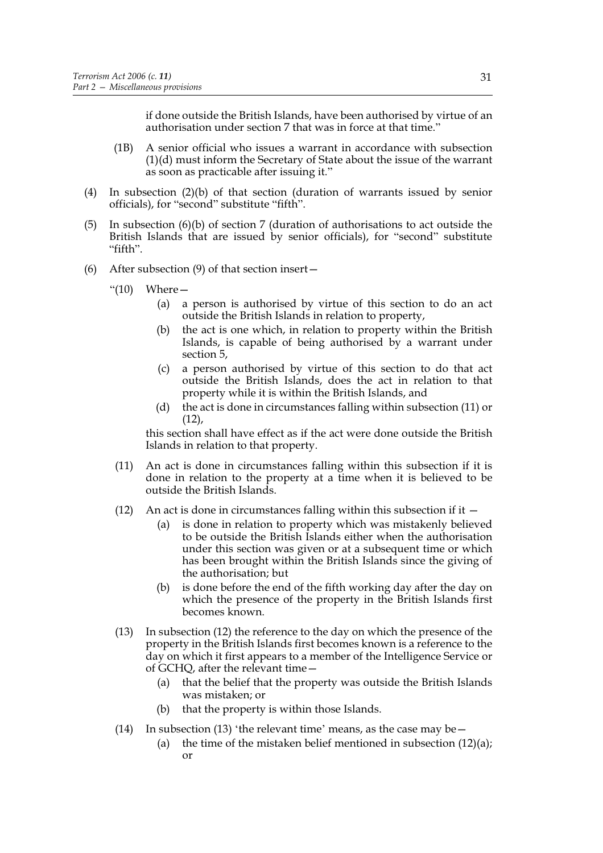if done outside the British Islands, have been authorised by virtue of an authorisation under section 7 that was in force at that time."

- (1B) A senior official who issues a warrant in accordance with subsection (1)(d) must inform the Secretary of State about the issue of the warrant as soon as practicable after issuing it."
- (4) In subsection (2)(b) of that section (duration of warrants issued by senior officials), for "second" substitute "fifth".
- (5) In subsection (6)(b) of section 7 (duration of authorisations to act outside the British Islands that are issued by senior officials), for "second" substitute "fifth".
- (6) After subsection (9) of that section insert—
	- "(10) Where—
		- (a) a person is authorised by virtue of this section to do an act outside the British Islands in relation to property,
		- (b) the act is one which, in relation to property within the British Islands, is capable of being authorised by a warrant under section 5,
		- (c) a person authorised by virtue of this section to do that act outside the British Islands, does the act in relation to that property while it is within the British Islands, and
		- (d) the act is done in circumstances falling within subsection (11) or (12),

this section shall have effect as if the act were done outside the British Islands in relation to that property.

- (11) An act is done in circumstances falling within this subsection if it is done in relation to the property at a time when it is believed to be outside the British Islands.
- $(12)$  An act is done in circumstances falling within this subsection if it  $-$ 
	- (a) is done in relation to property which was mistakenly believed to be outside the British Islands either when the authorisation under this section was given or at a subsequent time or which has been brought within the British Islands since the giving of the authorisation; but
	- (b) is done before the end of the fifth working day after the day on which the presence of the property in the British Islands first becomes known.
- (13) In subsection (12) the reference to the day on which the presence of the property in the British Islands first becomes known is a reference to the day on which it first appears to a member of the Intelligence Service or of GCHQ, after the relevant time—
	- (a) that the belief that the property was outside the British Islands was mistaken; or
	- (b) that the property is within those Islands.
- (14) In subsection (13) 'the relevant time' means, as the case may be  $-$ 
	- (a) the time of the mistaken belief mentioned in subsection (12)(a); or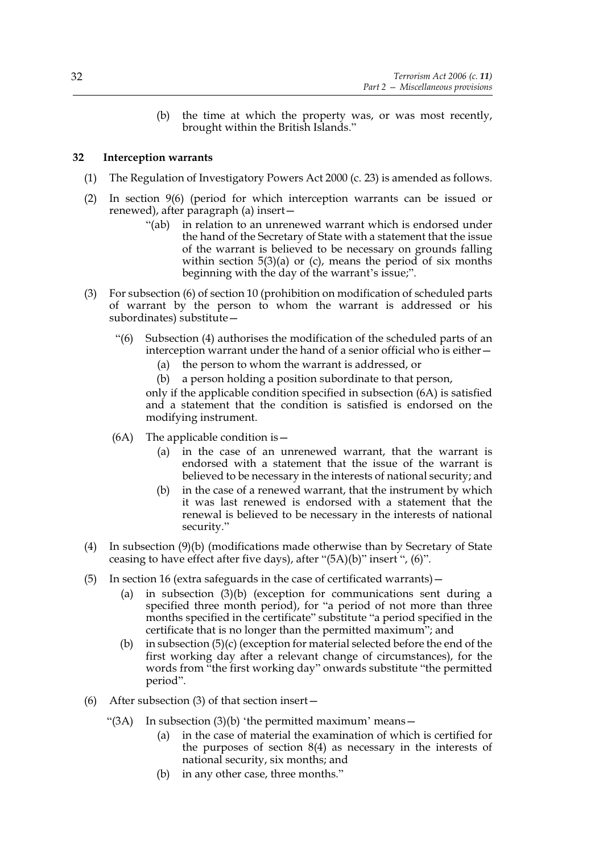(b) the time at which the property was, or was most recently, brought within the British Islands."

## **32 Interception warrants**

- (1) The Regulation of Investigatory Powers Act 2000 (c. 23) is amended as follows.
- (2) In section 9(6) (period for which interception warrants can be issued or renewed), after paragraph (a) insert—
	- "(ab) in relation to an unrenewed warrant which is endorsed under the hand of the Secretary of State with a statement that the issue of the warrant is believed to be necessary on grounds falling within section  $5(3)(a)$  or (c), means the period of six months beginning with the day of the warrant's issue;".
- (3) For subsection (6) of section 10 (prohibition on modification of scheduled parts of warrant by the person to whom the warrant is addressed or his subordinates) substitute—
	- " $(6)$  Subsection  $(4)$  authorises the modification of the scheduled parts of an interception warrant under the hand of a senior official who is either—
		- (a) the person to whom the warrant is addressed, or
		- (b) a person holding a position subordinate to that person,

only if the applicable condition specified in subsection (6A) is satisfied and a statement that the condition is satisfied is endorsed on the modifying instrument.

- (6A) The applicable condition is  $-$ 
	- (a) in the case of an unrenewed warrant, that the warrant is endorsed with a statement that the issue of the warrant is believed to be necessary in the interests of national security; and
	- (b) in the case of a renewed warrant, that the instrument by which it was last renewed is endorsed with a statement that the renewal is believed to be necessary in the interests of national security."
- (4) In subsection (9)(b) (modifications made otherwise than by Secretary of State ceasing to have effect after five days), after "(5A)(b)" insert ", (6)".
- (5) In section 16 (extra safeguards in the case of certificated warrants)—
	- (a) in subsection (3)(b) (exception for communications sent during a specified three month period), for "a period of not more than three months specified in the certificate" substitute "a period specified in the certificate that is no longer than the permitted maximum"; and
	- (b) in subsection (5)(c) (exception for material selected before the end of the first working day after a relevant change of circumstances), for the words from "the first working day" onwards substitute "the permitted period".
- (6) After subsection (3) of that section insert—
	- "(3A) In subsection  $(3)(b)$  'the permitted maximum' means
		- (a) in the case of material the examination of which is certified for the purposes of section 8(4) as necessary in the interests of national security, six months; and

32

(b) in any other case, three months."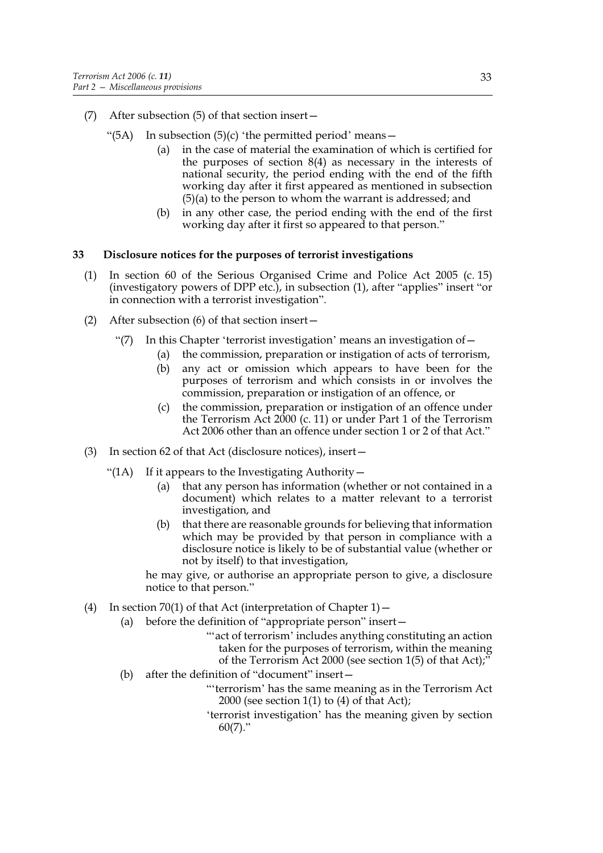- (7) After subsection (5) of that section insert—
	- "(5A) In subsection  $(5)(c)$  'the permitted period' means
		- in the case of material the examination of which is certified for the purposes of section 8(4) as necessary in the interests of national security, the period ending with the end of the fifth working day after it first appeared as mentioned in subsection (5)(a) to the person to whom the warrant is addressed; and
		- (b) in any other case, the period ending with the end of the first working day after it first so appeared to that person."

## **33 Disclosure notices for the purposes of terrorist investigations**

- (1) In section 60 of the Serious Organised Crime and Police Act 2005 (c. 15) (investigatory powers of DPP etc.), in subsection (1), after "applies" insert "or in connection with a terrorist investigation".
- (2) After subsection (6) of that section insert—
	- "(7) In this Chapter 'terrorist investigation' means an investigation of
		- the commission, preparation or instigation of acts of terrorism,
		- (b) any act or omission which appears to have been for the purposes of terrorism and which consists in or involves the commission, preparation or instigation of an offence, or
		- (c) the commission, preparation or instigation of an offence under the Terrorism Act 2000 (c. 11) or under Part 1 of the Terrorism Act 2006 other than an offence under section 1 or 2 of that Act."
- (3) In section 62 of that Act (disclosure notices), insert—
	- "( $1A$ ) If it appears to the Investigating Authority  $-$ 
		- (a) that any person has information (whether or not contained in a document) which relates to a matter relevant to a terrorist investigation, and
		- (b) that there are reasonable grounds for believing that information which may be provided by that person in compliance with a disclosure notice is likely to be of substantial value (whether or not by itself) to that investigation,

he may give, or authorise an appropriate person to give, a disclosure notice to that person."

- (4) In section 70(1) of that Act (interpretation of Chapter  $1$ )
	- (a) before the definition of "appropriate person" insert—
		- "'act of terrorism' includes anything constituting an action taken for the purposes of terrorism, within the meaning of the Terrorism Act 2000 (see section 1(5) of that Act);"
	- (b) after the definition of "document" insert—
		- "'terrorism' has the same meaning as in the Terrorism Act 2000 (see section  $1(1)$  to  $(4)$  of that Act);
		- 'terrorist investigation' has the meaning given by section  $60(7)$ ."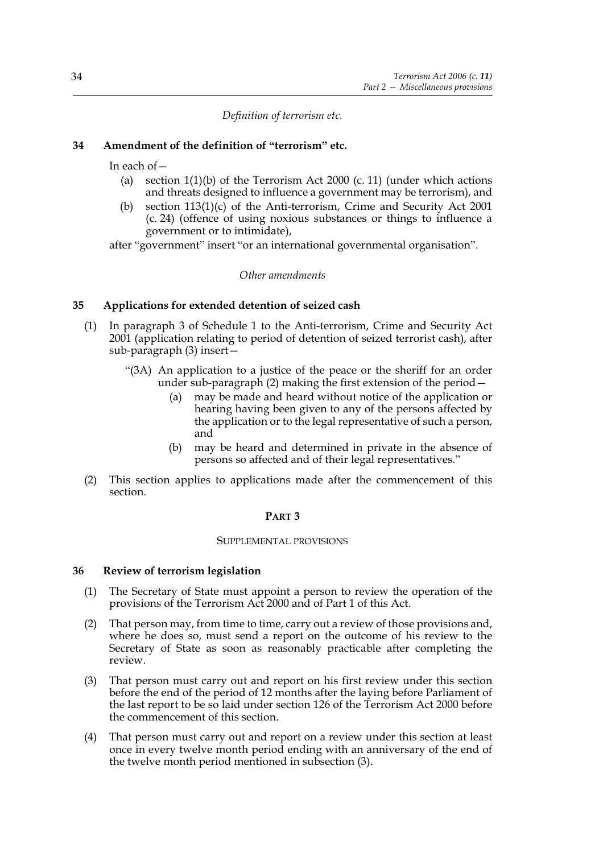*Definition of terrorism etc.*

## **34 Amendment of the definition of "terrorism" etc.**

In each of—

- (a) section  $1(1)(b)$  of the Terrorism Act 2000 (c. 11) (under which actions and threats designed to influence a government may be terrorism), and
- (b) section  $113(1)(c)$  of the Anti-terrorism, Crime and Security Act 2001 (c. 24) (offence of using noxious substances or things to influence a government or to intimidate),

after "government" insert "or an international governmental organisation".

## *Other amendments*

## **35 Applications for extended detention of seized cash**

- (1) In paragraph 3 of Schedule 1 to the Anti-terrorism, Crime and Security Act 2001 (application relating to period of detention of seized terrorist cash), after sub-paragraph (3) insert—
	- "(3A) An application to a justice of the peace or the sheriff for an order under sub-paragraph (2) making the first extension of the period—
		- (a) may be made and heard without notice of the application or hearing having been given to any of the persons affected by the application or to the legal representative of such a person, and
		- (b) may be heard and determined in private in the absence of persons so affected and of their legal representatives."
- (2) This section applies to applications made after the commencement of this section.

## **PART 3**

#### SUPPLEMENTAL PROVISIONS

## **36 Review of terrorism legislation**

- (1) The Secretary of State must appoint a person to review the operation of the provisions of the Terrorism Act 2000 and of Part 1 of this Act.
- (2) That person may, from time to time, carry out a review of those provisions and, where he does so, must send a report on the outcome of his review to the Secretary of State as soon as reasonably practicable after completing the review.
- (3) That person must carry out and report on his first review under this section before the end of the period of 12 months after the laying before Parliament of the last report to be so laid under section 126 of the Terrorism Act 2000 before the commencement of this section.
- (4) That person must carry out and report on a review under this section at least once in every twelve month period ending with an anniversary of the end of the twelve month period mentioned in subsection (3).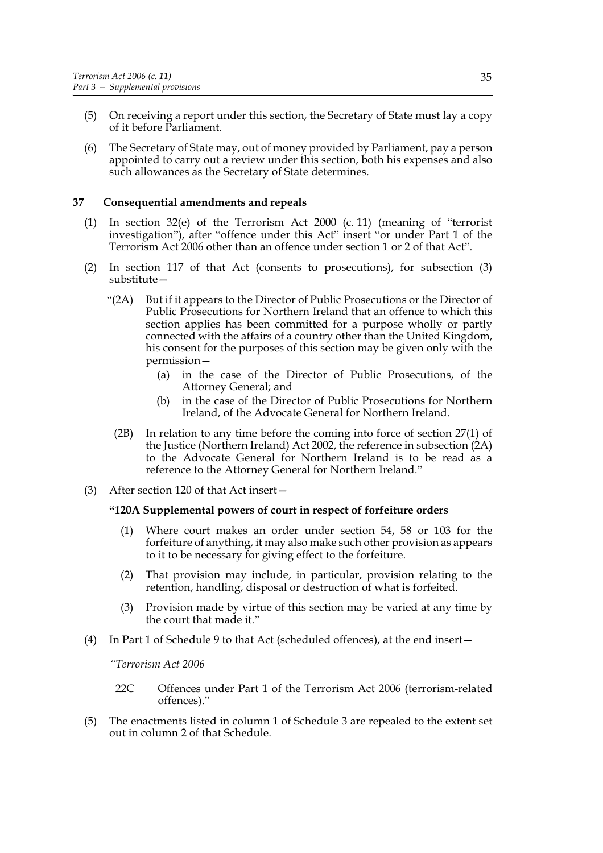- (5) On receiving a report under this section, the Secretary of State must lay a copy of it before Parliament.
- (6) The Secretary of State may, out of money provided by Parliament, pay a person appointed to carry out a review under this section, both his expenses and also such allowances as the Secretary of State determines.

## **37 Consequential amendments and repeals**

- (1) In section 32(e) of the Terrorism Act 2000 (c. 11) (meaning of "terrorist investigation"), after "offence under this Act" insert "or under Part 1 of the Terrorism Act 2006 other than an offence under section 1 or 2 of that Act".
- (2) In section 117 of that Act (consents to prosecutions), for subsection (3) substitute—
	- "(2A) But if it appears to the Director of Public Prosecutions or the Director of Public Prosecutions for Northern Ireland that an offence to which this section applies has been committed for a purpose wholly or partly connected with the affairs of a country other than the United Kingdom, his consent for the purposes of this section may be given only with the permission—
		- (a) in the case of the Director of Public Prosecutions, of the Attorney General; and
		- (b) in the case of the Director of Public Prosecutions for Northern Ireland, of the Advocate General for Northern Ireland.
	- (2B) In relation to any time before the coming into force of section 27(1) of the Justice (Northern Ireland) Act 2002, the reference in subsection (2A) to the Advocate General for Northern Ireland is to be read as a reference to the Attorney General for Northern Ireland."
- (3) After section 120 of that Act insert—

## **"120A Supplemental powers of court in respect of forfeiture orders**

- (1) Where court makes an order under section 54, 58 or 103 for the forfeiture of anything, it may also make such other provision as appears to it to be necessary for giving effect to the forfeiture.
- (2) That provision may include, in particular, provision relating to the retention, handling, disposal or destruction of what is forfeited.
- (3) Provision made by virtue of this section may be varied at any time by the court that made it."
- (4) In Part 1 of Schedule 9 to that Act (scheduled offences), at the end insert—

*"Terrorism Act 2006*

- 22C Offences under Part 1 of the Terrorism Act 2006 (terrorism-related offences)."
- (5) The enactments listed in column 1 of Schedule 3 are repealed to the extent set out in column 2 of that Schedule.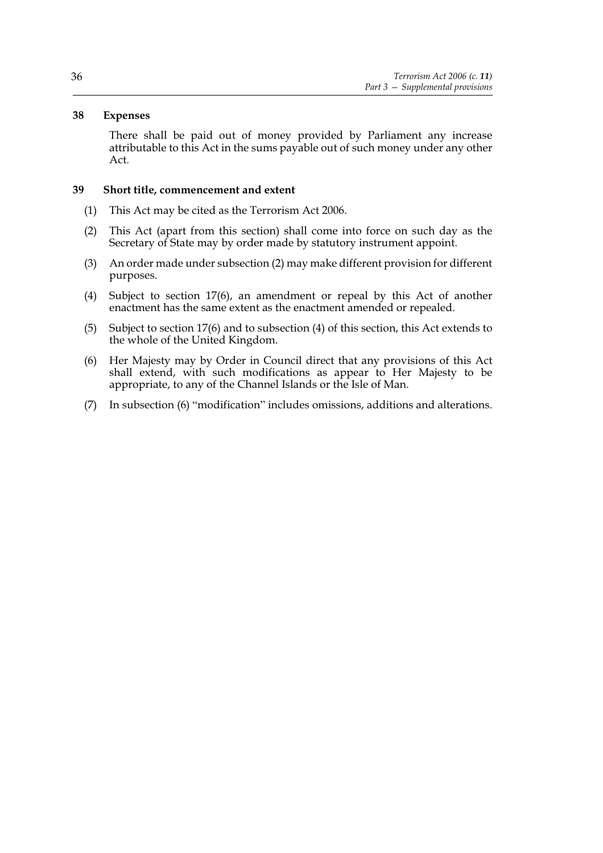#### **38 Expenses**

There shall be paid out of money provided by Parliament any increase attributable to this Act in the sums payable out of such money under any other Act.

#### **39 Short title, commencement and extent**

- (1) This Act may be cited as the Terrorism Act 2006.
- (2) This Act (apart from this section) shall come into force on such day as the Secretary of State may by order made by statutory instrument appoint.
- (3) An order made under subsection (2) may make different provision for different purposes.
- (4) Subject to section 17(6), an amendment or repeal by this Act of another enactment has the same extent as the enactment amended or repealed.
- (5) Subject to section 17(6) and to subsection (4) of this section, this Act extends to the whole of the United Kingdom.
- (6) Her Majesty may by Order in Council direct that any provisions of this Act shall extend, with such modifications as appear to Her Majesty to be appropriate, to any of the Channel Islands or the Isle of Man.
- (7) In subsection (6) "modification" includes omissions, additions and alterations.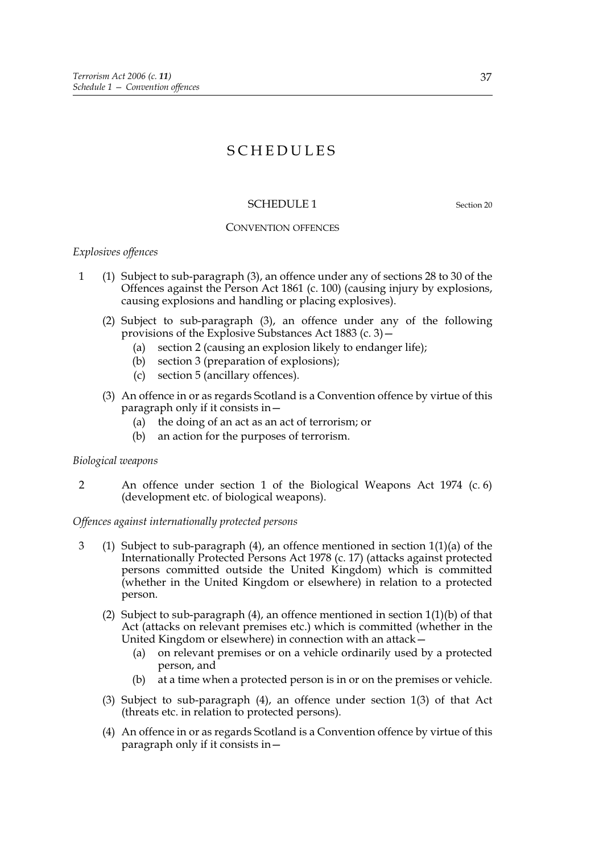# SCHEDULES

## SCHEDULE 1 Section 20

#### CONVENTION OFFENCES

#### *Explosives offences*

- 1 (1) Subject to sub-paragraph (3), an offence under any of sections 28 to 30 of the Offences against the Person Act 1861 (c. 100) (causing injury by explosions, causing explosions and handling or placing explosives).
	- (2) Subject to sub-paragraph (3), an offence under any of the following provisions of the Explosive Substances Act 1883 (c. 3)—
		- (a) section 2 (causing an explosion likely to endanger life);
		- (b) section 3 (preparation of explosions);
		- (c) section 5 (ancillary offences).
	- (3) An offence in or as regards Scotland is a Convention offence by virtue of this paragraph only if it consists in—
		- (a) the doing of an act as an act of terrorism; or
		- (b) an action for the purposes of terrorism.

#### *Biological weapons*

2 An offence under section 1 of the Biological Weapons Act 1974 (c. 6) (development etc. of biological weapons).

#### *Offences against internationally protected persons*

- 3 (1) Subject to sub-paragraph (4), an offence mentioned in section 1(1)(a) of the Internationally Protected Persons Act 1978 (c. 17) (attacks against protected persons committed outside the United Kingdom) which is committed (whether in the United Kingdom or elsewhere) in relation to a protected person.
	- (2) Subject to sub-paragraph (4), an offence mentioned in section 1(1)(b) of that Act (attacks on relevant premises etc.) which is committed (whether in the United Kingdom or elsewhere) in connection with an attack—
		- (a) on relevant premises or on a vehicle ordinarily used by a protected person, and
		- (b) at a time when a protected person is in or on the premises or vehicle.
	- (3) Subject to sub-paragraph (4), an offence under section 1(3) of that Act (threats etc. in relation to protected persons).
	- (4) An offence in or as regards Scotland is a Convention offence by virtue of this paragraph only if it consists in—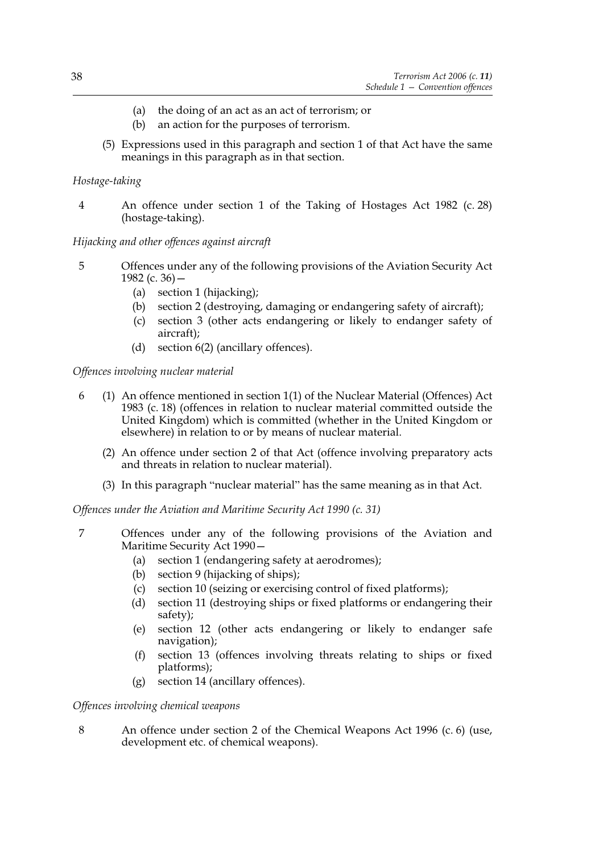- (a) the doing of an act as an act of terrorism; or
- (b) an action for the purposes of terrorism.
- (5) Expressions used in this paragraph and section 1 of that Act have the same meanings in this paragraph as in that section.

## *Hostage-taking*

4 An offence under section 1 of the Taking of Hostages Act 1982 (c. 28) (hostage-taking).

## *Hijacking and other offences against aircraft*

- 5 Offences under any of the following provisions of the Aviation Security Act 1982 (c. 36)  $-$ 
	- (a) section 1 (hijacking);
	- (b) section 2 (destroying, damaging or endangering safety of aircraft);
	- (c) section 3 (other acts endangering or likely to endanger safety of aircraft);
	- (d) section 6(2) (ancillary offences).

## *Offences involving nuclear material*

- 6 (1) An offence mentioned in section 1(1) of the Nuclear Material (Offences) Act 1983 (c. 18) (offences in relation to nuclear material committed outside the United Kingdom) which is committed (whether in the United Kingdom or elsewhere) in relation to or by means of nuclear material.
	- (2) An offence under section 2 of that Act (offence involving preparatory acts and threats in relation to nuclear material).
	- (3) In this paragraph "nuclear material" has the same meaning as in that Act.

*Offences under the Aviation and Maritime Security Act 1990 (c. 31)*

- 7 Offences under any of the following provisions of the Aviation and Maritime Security Act 1990—
	- (a) section 1 (endangering safety at aerodromes);
	- (b) section 9 (hijacking of ships);
	- (c) section 10 (seizing or exercising control of fixed platforms);
	- (d) section 11 (destroying ships or fixed platforms or endangering their safety);
	- (e) section 12 (other acts endangering or likely to endanger safe navigation);
	- (f) section 13 (offences involving threats relating to ships or fixed platforms);
	- (g) section 14 (ancillary offences).

## *Offences involving chemical weapons*

8 An offence under section 2 of the Chemical Weapons Act 1996 (c. 6) (use, development etc. of chemical weapons).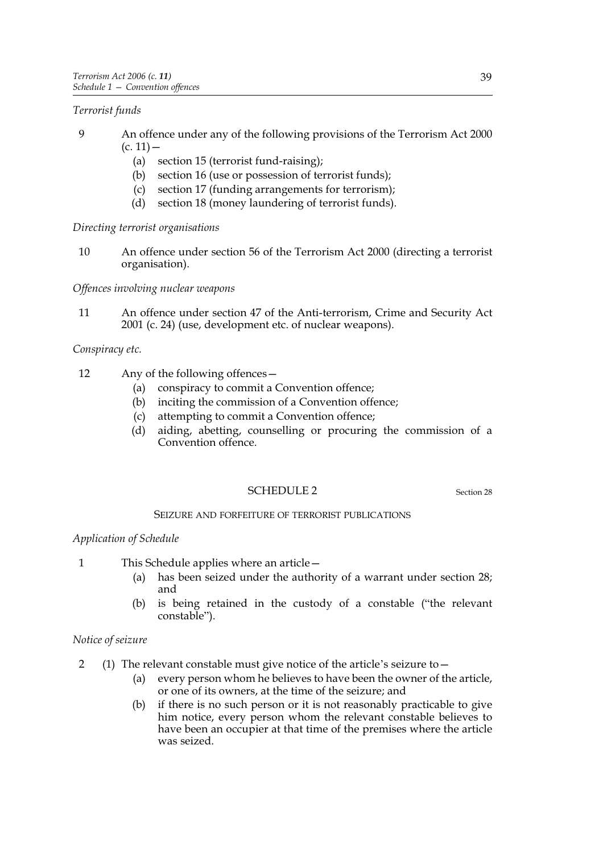## *Terrorist funds*

- 9 An offence under any of the following provisions of the Terrorism Act 2000  $(c. 11)$  –
	- (a) section 15 (terrorist fund-raising);
	- (b) section 16 (use or possession of terrorist funds);
	- (c) section 17 (funding arrangements for terrorism);
	- (d) section 18 (money laundering of terrorist funds).

*Directing terrorist organisations*

10 An offence under section 56 of the Terrorism Act 2000 (directing a terrorist organisation).

*Offences involving nuclear weapons*

11 An offence under section 47 of the Anti-terrorism, Crime and Security Act 2001 (c. 24) (use, development etc. of nuclear weapons).

*Conspiracy etc.*

- 12 Any of the following offences—
	- (a) conspiracy to commit a Convention offence;
	- (b) inciting the commission of a Convention offence;
	- (c) attempting to commit a Convention offence;
	- (d) aiding, abetting, counselling or procuring the commission of a Convention offence.

## SCHEDULE 2 Section 28

## SEIZURE AND FORFEITURE OF TERRORIST PUBLICATIONS

## *Application of Schedule*

- 1 This Schedule applies where an article—
	- (a) has been seized under the authority of a warrant under section 28; and
	- (b) is being retained in the custody of a constable ("the relevant constable").

## *Notice of seizure*

- 2 (1) The relevant constable must give notice of the article's seizure to—
	- (a) every person whom he believes to have been the owner of the article, or one of its owners, at the time of the seizure; and
	- (b) if there is no such person or it is not reasonably practicable to give him notice, every person whom the relevant constable believes to have been an occupier at that time of the premises where the article was seized.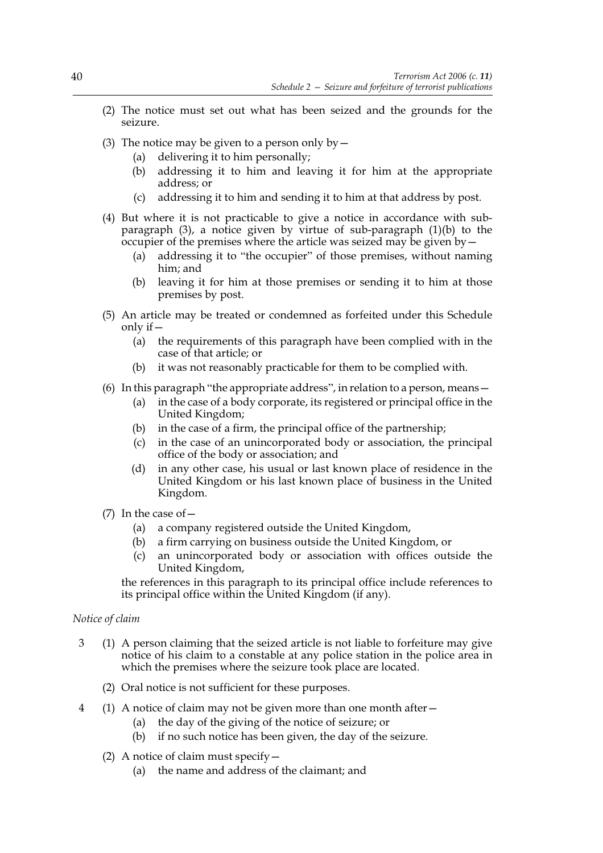- (2) The notice must set out what has been seized and the grounds for the seizure.
- (3) The notice may be given to a person only by  $-$ 
	- (a) delivering it to him personally;
	- (b) addressing it to him and leaving it for him at the appropriate address; or
	- (c) addressing it to him and sending it to him at that address by post.
- (4) But where it is not practicable to give a notice in accordance with subparagraph (3), a notice given by virtue of sub-paragraph (1)(b) to the occupier of the premises where the article was seized may be given by  $-$ 
	- (a) addressing it to "the occupier" of those premises, without naming him; and
	- (b) leaving it for him at those premises or sending it to him at those premises by post.
- (5) An article may be treated or condemned as forfeited under this Schedule only if—
	- (a) the requirements of this paragraph have been complied with in the case of that article; or
	- (b) it was not reasonably practicable for them to be complied with.
- (6) In this paragraph "the appropriate address", in relation to a person, means  $-$ 
	- (a) in the case of a body corporate, its registered or principal office in the United Kingdom;
	- (b) in the case of a firm, the principal office of the partnership;
	- (c) in the case of an unincorporated body or association, the principal office of the body or association; and
	- (d) in any other case, his usual or last known place of residence in the United Kingdom or his last known place of business in the United Kingdom.
- (7) In the case of  $-$ 
	- (a) a company registered outside the United Kingdom,
	- (b) a firm carrying on business outside the United Kingdom, or
	- (c) an unincorporated body or association with offices outside the United Kingdom,

the references in this paragraph to its principal office include references to its principal office within the United Kingdom (if any).

## *Notice of claim*

- 3 (1) A person claiming that the seized article is not liable to forfeiture may give notice of his claim to a constable at any police station in the police area in which the premises where the seizure took place are located.
	- (2) Oral notice is not sufficient for these purposes.
- 4 (1) A notice of claim may not be given more than one month after—
	- (a) the day of the giving of the notice of seizure; or
	- (b) if no such notice has been given, the day of the seizure.
	- (2) A notice of claim must specify—
		- (a) the name and address of the claimant; and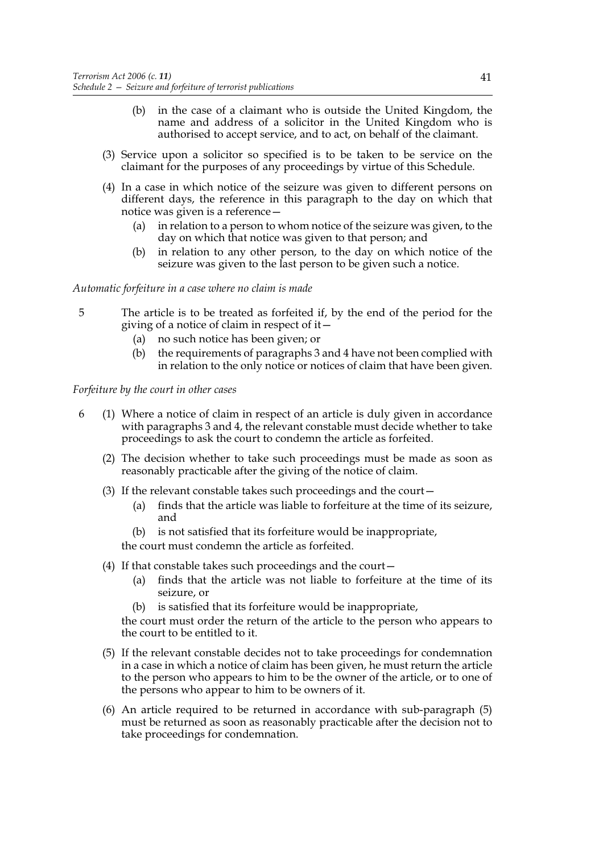- (b) in the case of a claimant who is outside the United Kingdom, the name and address of a solicitor in the United Kingdom who is authorised to accept service, and to act, on behalf of the claimant.
- (3) Service upon a solicitor so specified is to be taken to be service on the claimant for the purposes of any proceedings by virtue of this Schedule.
- (4) In a case in which notice of the seizure was given to different persons on different days, the reference in this paragraph to the day on which that notice was given is a reference—
	- (a) in relation to a person to whom notice of the seizure was given, to the day on which that notice was given to that person; and
	- (b) in relation to any other person, to the day on which notice of the seizure was given to the last person to be given such a notice.

#### *Automatic forfeiture in a case where no claim is made*

- 5 The article is to be treated as forfeited if, by the end of the period for the giving of a notice of claim in respect of it—
	- (a) no such notice has been given; or
	- (b) the requirements of paragraphs 3 and 4 have not been complied with in relation to the only notice or notices of claim that have been given.

#### *Forfeiture by the court in other cases*

- 6 (1) Where a notice of claim in respect of an article is duly given in accordance with paragraphs 3 and 4, the relevant constable must decide whether to take proceedings to ask the court to condemn the article as forfeited.
	- (2) The decision whether to take such proceedings must be made as soon as reasonably practicable after the giving of the notice of claim.
	- (3) If the relevant constable takes such proceedings and the court—
		- (a) finds that the article was liable to forfeiture at the time of its seizure, and
		- (b) is not satisfied that its forfeiture would be inappropriate,
		- the court must condemn the article as forfeited.
	- (4) If that constable takes such proceedings and the court—
		- (a) finds that the article was not liable to forfeiture at the time of its seizure, or
		- (b) is satisfied that its forfeiture would be inappropriate,

the court must order the return of the article to the person who appears to the court to be entitled to it.

- (5) If the relevant constable decides not to take proceedings for condemnation in a case in which a notice of claim has been given, he must return the article to the person who appears to him to be the owner of the article, or to one of the persons who appear to him to be owners of it.
- (6) An article required to be returned in accordance with sub-paragraph (5) must be returned as soon as reasonably practicable after the decision not to take proceedings for condemnation.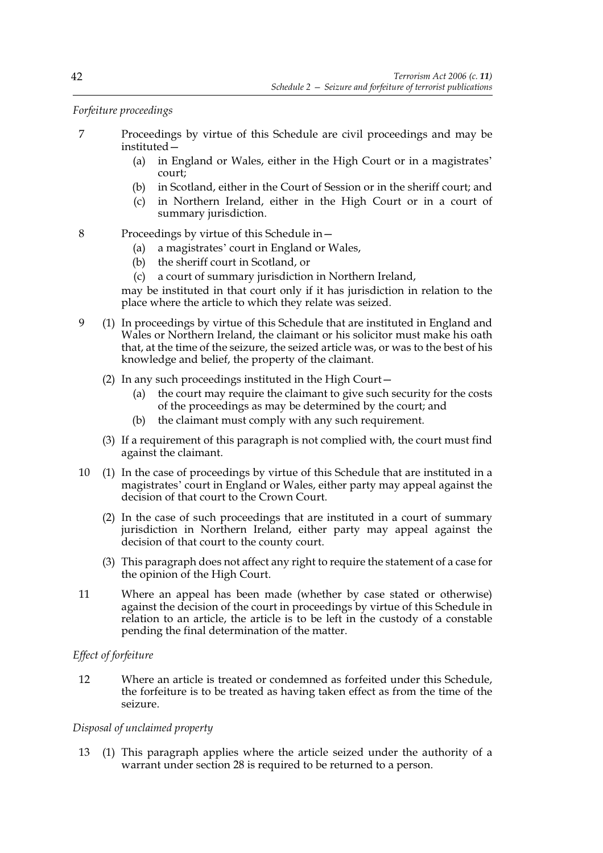*Forfeiture proceedings*

- 7 Proceedings by virtue of this Schedule are civil proceedings and may be instituted—
	- (a) in England or Wales, either in the High Court or in a magistrates' court;
	- (b) in Scotland, either in the Court of Session or in the sheriff court; and
	- (c) in Northern Ireland, either in the High Court or in a court of summary jurisdiction.
- 8 Proceedings by virtue of this Schedule in—
	- (a) a magistrates' court in England or Wales,
	- (b) the sheriff court in Scotland, or
	- (c) a court of summary jurisdiction in Northern Ireland,

may be instituted in that court only if it has jurisdiction in relation to the place where the article to which they relate was seized.

- 9 (1) In proceedings by virtue of this Schedule that are instituted in England and Wales or Northern Ireland, the claimant or his solicitor must make his oath that, at the time of the seizure, the seized article was, or was to the best of his knowledge and belief, the property of the claimant.
	- (2) In any such proceedings instituted in the High Court—
		- (a) the court may require the claimant to give such security for the costs of the proceedings as may be determined by the court; and
		- (b) the claimant must comply with any such requirement.
	- (3) If a requirement of this paragraph is not complied with, the court must find against the claimant.
- 10 (1) In the case of proceedings by virtue of this Schedule that are instituted in a magistrates' court in England or Wales, either party may appeal against the decision of that court to the Crown Court.
	- (2) In the case of such proceedings that are instituted in a court of summary jurisdiction in Northern Ireland, either party may appeal against the decision of that court to the county court.
	- (3) This paragraph does not affect any right to require the statement of a case for the opinion of the High Court.
- 11 Where an appeal has been made (whether by case stated or otherwise) against the decision of the court in proceedings by virtue of this Schedule in relation to an article, the article is to be left in the custody of a constable pending the final determination of the matter.

## *Effect of forfeiture*

12 Where an article is treated or condemned as forfeited under this Schedule, the forfeiture is to be treated as having taken effect as from the time of the seizure.

## *Disposal of unclaimed property*

13 (1) This paragraph applies where the article seized under the authority of a warrant under section 28 is required to be returned to a person.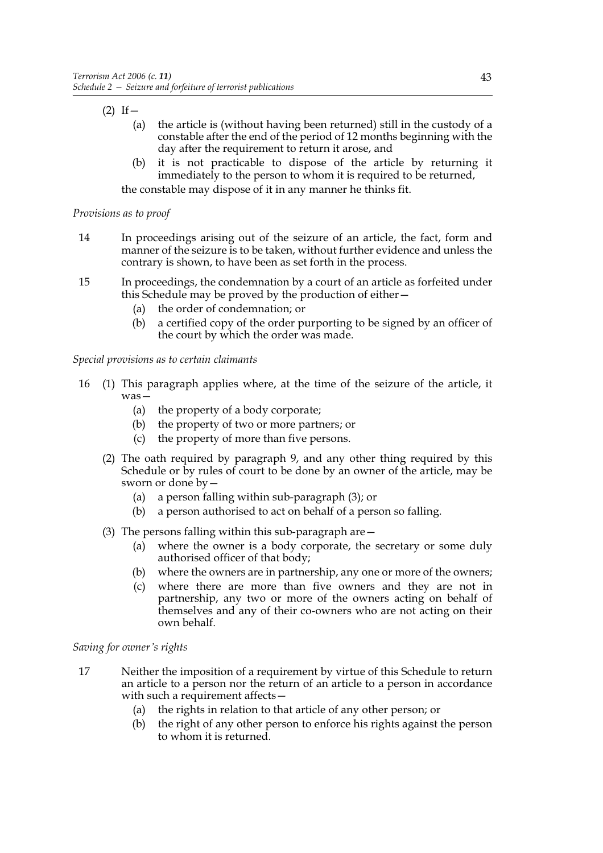## $(2)$  If  $-$

- (a) the article is (without having been returned) still in the custody of a constable after the end of the period of 12 months beginning with the day after the requirement to return it arose, and
- (b) it is not practicable to dispose of the article by returning it immediately to the person to whom it is required to be returned,

the constable may dispose of it in any manner he thinks fit.

## *Provisions as to proof*

- 14 In proceedings arising out of the seizure of an article, the fact, form and manner of the seizure is to be taken, without further evidence and unless the contrary is shown, to have been as set forth in the process.
- 15 In proceedings, the condemnation by a court of an article as forfeited under this Schedule may be proved by the production of either—
	- (a) the order of condemnation; or
	- (b) a certified copy of the order purporting to be signed by an officer of the court by which the order was made.

## *Special provisions as to certain claimants*

- 16 (1) This paragraph applies where, at the time of the seizure of the article, it was—
	- (a) the property of a body corporate;
	- (b) the property of two or more partners; or
	- (c) the property of more than five persons.
	- (2) The oath required by paragraph 9, and any other thing required by this Schedule or by rules of court to be done by an owner of the article, may be sworn or done by—
		- (a) a person falling within sub-paragraph (3); or
		- (b) a person authorised to act on behalf of a person so falling.
	- (3) The persons falling within this sub-paragraph are—
		- (a) where the owner is a body corporate, the secretary or some duly authorised officer of that body;
		- (b) where the owners are in partnership, any one or more of the owners;
		- (c) where there are more than five owners and they are not in partnership, any two or more of the owners acting on behalf of themselves and any of their co-owners who are not acting on their own behalf.

## *Saving for owner's rights*

- 17 Neither the imposition of a requirement by virtue of this Schedule to return an article to a person nor the return of an article to a person in accordance with such a requirement affects—
	- (a) the rights in relation to that article of any other person; or
	- (b) the right of any other person to enforce his rights against the person to whom it is returned.